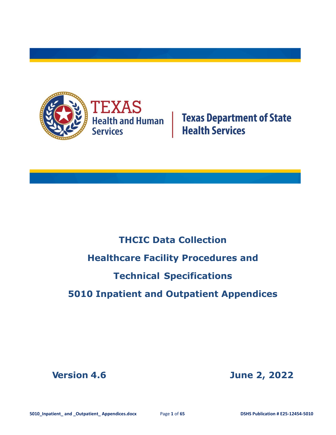

**Texas Department of State<br>Health Services** 

# **THCIC Data Collection Healthcare Facility Procedures and Technical Specifications 5010 Inpatient and Outpatient Appendices**

**Version 4.6 June 2, 2022**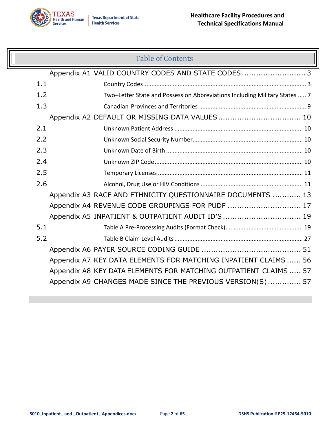

### Table of Contents

|     | Appendix A1 VALID COUNTRY CODES AND STATE CODES3                           |
|-----|----------------------------------------------------------------------------|
| 1.1 |                                                                            |
| 1.2 | Two-Letter State and Possession Abbreviations Including Military States  7 |
| 1.3 |                                                                            |
|     | Appendix A2 DEFAULT OR MISSING DATA VALUES 10                              |
| 2.1 |                                                                            |
| 2.2 |                                                                            |
| 2.3 |                                                                            |
| 2.4 |                                                                            |
| 2.5 |                                                                            |
| 2.6 |                                                                            |
|     | Appendix A3 RACE AND ETHNICITY QUESTIONNAIRE DOCUMENTS  13                 |
|     | Appendix A4 REVENUE CODE GROUPINGS FOR PUDF  17                            |
|     | Appendix A5 INPATIENT & OUTPATIENT AUDIT ID'S  19                          |
| 5.1 |                                                                            |
| 5.2 |                                                                            |
|     |                                                                            |
|     | Appendix A7 KEY DATA ELEMENTS FOR MATCHING INPATIENT CLAIMS  56            |
|     | Appendix A8 KEY DATA ELEMENTS FOR MATCHING OUTPATIENT CLAIMS  57           |
|     | Appendix A9 CHANGES MADE SINCE THE PREVIOUS VERSION(S) 57                  |
|     |                                                                            |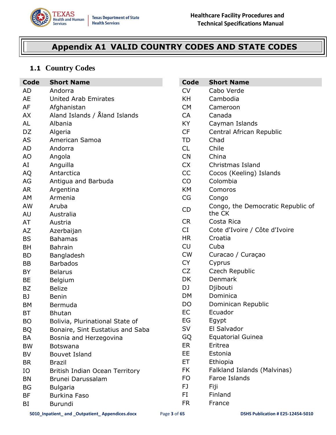

# <span id="page-2-0"></span>**Appendix A1 VALID COUNTRY CODES AND STATE CODES**

### <span id="page-2-1"></span>**1.1 Country Codes**

| Code      | <b>Short Name</b>                | Code      | <b>Short Name</b>                 |
|-----------|----------------------------------|-----------|-----------------------------------|
| AD        | Andorra                          | <b>CV</b> | Cabo Verde                        |
| <b>AE</b> | <b>United Arab Emirates</b>      | KH        | Cambodia                          |
| AF        | Afghanistan                      | <b>CM</b> | Cameroon                          |
| AX        | Aland Islands / Åland Islands    | CA        | Canada                            |
| AL        | Albania                          | KY        | Cayman Islands                    |
| DZ        | Algeria                          | <b>CF</b> | Central African Republic          |
| <b>AS</b> | American Samoa                   | TD        | Chad                              |
| <b>AD</b> | Andorra                          | <b>CL</b> | Chile                             |
| AO        | Angola                           | <b>CN</b> | China                             |
| AI        | Anguilla                         | <b>CX</b> | Christmas Island                  |
| AQ        | Antarctica                       | CC        | Cocos (Keeling) Islands           |
| AG        | Antigua and Barbuda              | CO        | Colombia                          |
| <b>AR</b> | Argentina                        | <b>KM</b> | Comoros                           |
| AM        | Armenia                          | CG        | Congo                             |
| AW        | Aruba                            | CD        | Congo, the Democratic Republic of |
| AU        | Australia                        |           | the CK                            |
| AT        | Austria                          | <b>CR</b> | Costa Rica                        |
| AZ        | Azerbaijan                       | CI        | Cote d'Ivoire / Côte d'Ivoire     |
| <b>BS</b> | <b>Bahamas</b>                   | <b>HR</b> | Croatia                           |
| <b>BH</b> | <b>Bahrain</b>                   | CU        | Cuba                              |
| <b>BD</b> | Bangladesh                       | <b>CW</b> | Curacao / Curaçao                 |
| <b>BB</b> | <b>Barbados</b>                  | <b>CY</b> | Cyprus                            |
| BY        | <b>Belarus</b>                   | CZ        | Czech Republic                    |
| <b>BE</b> | <b>Belgium</b>                   | DK        | <b>Denmark</b>                    |
| <b>BZ</b> | <b>Belize</b>                    | DJ        | Djibouti                          |
| BJ        | <b>Benin</b>                     | <b>DM</b> | Dominica                          |
| <b>BM</b> | Bermuda                          | DO        | Dominican Republic                |
| <b>BT</b> | <b>Bhutan</b>                    | <b>EC</b> | Ecuador                           |
| <b>BO</b> | Bolivia, Plurinational State of  | EG        | Egypt                             |
| <b>BQ</b> | Bonaire, Sint Eustatius and Saba | SV        | El Salvador                       |
| BA        | Bosnia and Herzegovina           | GQ        | <b>Equatorial Guinea</b>          |
| <b>BW</b> | <b>Botswana</b>                  | ER        | Eritrea                           |
| <b>BV</b> | <b>Bouvet Island</b>             | EE        | Estonia                           |
| <b>BR</b> | <b>Brazil</b>                    | ET        | Ethiopia                          |
| IO        | British Indian Ocean Territory   | FK        | Falkland Islands (Malvinas)       |
| <b>BN</b> | Brunei Darussalam                | FO        | Faroe Islands                     |
| <b>BG</b> | <b>Bulgaria</b>                  | FJ.       | Fiji                              |
| <b>BF</b> | <b>Burkina Faso</b>              | FI        | Finland                           |
| BI        | Burundi                          | <b>FR</b> | France                            |
|           |                                  |           |                                   |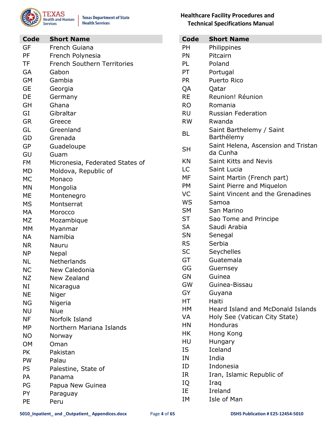

| Code      | <b>Short Name</b>                  |
|-----------|------------------------------------|
| GF        | French Guiana                      |
| PF        | French Polynesia                   |
| <b>TF</b> | <b>French Southern Territories</b> |
| GA        | Gabon                              |
| GM        | Gambia                             |
| <b>GE</b> | Georgia                            |
| DE        | Germany                            |
| GH        | Ghana                              |
| GI        | Gibraltar                          |
| GR        | Greece                             |
| GL        | Greenland                          |
| GD        | Grenada                            |
| GP        | Guadeloupe                         |
| GU        | Guam                               |
| FM        | Micronesia, Federated States of    |
| МD        | Moldova, Republic of               |
| MC        | Monaco                             |
| MN        | Mongolia                           |
| МE        | Montenegro                         |
| МS        | Montserrat                         |
| МA        | Morocco                            |
| MZ        | Mozambique                         |
| МM        | Myanmar                            |
| ΝA        | Namibia                            |
| ΝR        | Nauru                              |
| NΡ        | Nepal                              |
| ΝL        | Netherlands                        |
| ΝC        | New Caledonia                      |
| ΝZ        | New Zealand                        |
| NI        | Nicaragua                          |
| <b>NE</b> | Niger                              |
| ΝG        | Nigeria                            |
| NU        | Niue                               |
| ΝF        | Norfolk Island                     |
| MP        | Northern Mariana Islands           |
| NO.       | Norway                             |
| ОM        | Oman                               |
| <b>PK</b> | Pakistan                           |
| PW        | Palau                              |
| PS        | Palestine, State of                |
| PA        | Panama                             |
| PG        | Papua New Guinea                   |
| PY        | Paraguay                           |
| PE        | Peru                               |

#### **Healthcare Facility Procedures and Technical Specifications Manual**

| Code      | <b>Short Name</b>                        |
|-----------|------------------------------------------|
| PH        |                                          |
| PN        | Philippines<br>Pitcairn                  |
|           |                                          |
| PL        | Poland                                   |
| PT        | Portugal                                 |
| <b>PR</b> | Puerto Rico                              |
| QA        | Qatar                                    |
| <b>RE</b> | Reunion! Réunion                         |
| <b>RO</b> | Romania                                  |
| RU        | <b>Russian Federation</b>                |
| <b>RW</b> | Rwanda                                   |
| <b>BL</b> | Saint Barthelemy / Saint<br>Barthélemy   |
| <b>SH</b> | Saint Helena, Ascension and Tristan      |
|           | da Cunha                                 |
| KN        | Saint Kitts and Nevis                    |
| LC        | Saint Lucia                              |
| MF        | Saint Martin (French part)               |
| <b>PM</b> | Saint Pierre and Miquelon                |
| VC        | Saint Vincent and the Grenadines         |
| WS        | Samoa                                    |
| <b>SM</b> | San Marino                               |
| ST        | Sao Tome and Principe                    |
| <b>SA</b> | Saudi Arabia                             |
| SN        | Senegal                                  |
| <b>RS</b> | Serbia                                   |
| <b>SC</b> | Seychelles                               |
| GT        | Guatemala                                |
| GG        | Guernsey                                 |
| GN        | Guinea                                   |
| GW        | Guinea-Bissau                            |
| GY        | Guyana                                   |
| HT.       | Haiti                                    |
| HМ        | <b>Heard Island and McDonald Islands</b> |
| <b>VA</b> | Holy See (Vatican City State)            |
| HN        | Honduras                                 |
| ΗK        | Hong Kong                                |
| HU        | Hungary                                  |
| IS.       | Iceland                                  |
| ΙN        | India                                    |
| ID        | Indonesia                                |
| IR        | Iran, Islamic Republic of                |
| IQ        | Iraq                                     |
| IE        | Ireland                                  |
| IΜ        | Isle of Man                              |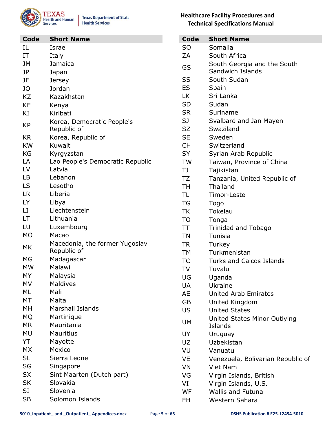

**Texas Department of State Health Services** 

| Code      | <b>Short Name</b>                             |
|-----------|-----------------------------------------------|
| IL        | Israel                                        |
| IΤ        | Italy                                         |
| JМ        | Jamaica                                       |
| JP        | Japan                                         |
| JE        | Jersey                                        |
| JO        | Jordan                                        |
| <b>KZ</b> | Kazakhstan                                    |
| KE        | Kenya                                         |
| ΚI        | Kiribati                                      |
| <b>KP</b> | Korea, Democratic People's<br>Republic of     |
| KR.       | Korea, Republic of                            |
| <b>KW</b> | Kuwait                                        |
| KG        | Kyrgyzstan                                    |
| LA        | Lao People's Democratic Republic              |
| LV        | Latvia                                        |
| LB        | Lebanon                                       |
| LS        | Lesotho                                       |
| LR.       | Liberia                                       |
| LY.       | Libya                                         |
| LI        | Liechtenstein                                 |
| LT        | Lithuania                                     |
| LU        | Luxembourg                                    |
| <b>MO</b> | Macao                                         |
| MK        | Macedonia, the former Yugoslav<br>Republic of |
| МG        | Madagascar                                    |
| <b>MW</b> | Malawi                                        |
| MY        | Malaysia                                      |
| MV        | <b>Maldives</b>                               |
| ML        | Mali                                          |
| MT        | Malta                                         |
| MН        | <b>Marshall Islands</b>                       |
| MQ.       | Martinique                                    |
| MR        | Mauritania                                    |
| MU        | Mauritius                                     |
| YT        | Mayotte                                       |
| МX        | Mexico                                        |
| SL        | Sierra Leone                                  |
| SG        | Singapore                                     |
| <b>SX</b> | Sint Maarten (Dutch part)                     |
| SK        | Slovakia                                      |
| SI        | Slovenia                                      |
| SB        | Solomon Islands                               |

#### **Healthcare Facility Procedures and Technical Specifications Manual**

| <b>Code</b> | <b>Short Name</b>                 |
|-------------|-----------------------------------|
| SO          | Somalia                           |
| ZΑ          | South Africa                      |
| GS          | South Georgia and the South       |
|             | Sandwich Islands                  |
| SS          | South Sudan                       |
| <b>ES</b>   | Spain                             |
| LK.         | Sri Lanka                         |
| <b>SD</b>   | Sudan                             |
| <b>SR</b>   | Suriname                          |
| SJ          | Svalbard and Jan Mayen            |
| SZ          | Swaziland                         |
| <b>SE</b>   | Sweden                            |
| <b>CH</b>   | Switzerland                       |
| SY          | Syrian Arab Republic              |
| <b>TW</b>   | Taiwan, Province of China         |
| TJ.         | Tajikistan                        |
| TZ          | Tanzania, United Republic of      |
| TH          | Thailand                          |
| TL          | Timor-Leste                       |
| TG          | Togo                              |
| TK          | Tokelau                           |
| TO          | Tonga                             |
| TT          | <b>Trinidad and Tobago</b>        |
| TN          | Tunisia                           |
| <b>TR</b>   | Turkey                            |
| <b>TM</b>   | Turkmenistan                      |
| ТC          | <b>Turks and Caicos Islands</b>   |
| TV          | Tuvalu                            |
| UG          | Uganda                            |
| UA          | Ukraine                           |
| <b>AE</b>   | <b>United Arab Emirates</b>       |
| GB          | United Kingdom                    |
| US          | <b>United States</b>              |
|             | United States Minor Outlying      |
| <b>UM</b>   | Islands                           |
| UY          | Uruguay                           |
| UZ          | Uzbekistan                        |
| VU          | Vanuatu                           |
| VE          | Venezuela, Bolivarian Republic of |
| VN          | <b>Viet Nam</b>                   |
| VG          | Virgin Islands, British           |
| VI          | Virgin Islands, U.S.              |
| WF          | <b>Wallis and Futuna</b>          |
| EH          | Western Sahara                    |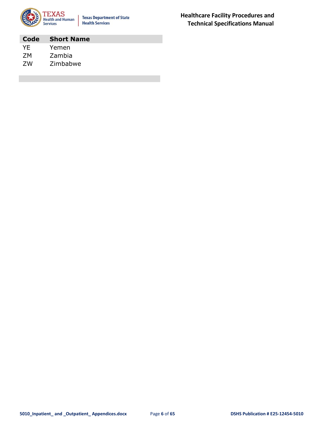

**Texas Department of State Health Services** 

**Code Short Name** YE Yemen ZM Zambia ZW Zimbabwe

**Healthcare Facility Procedures and Technical Specifications Manual**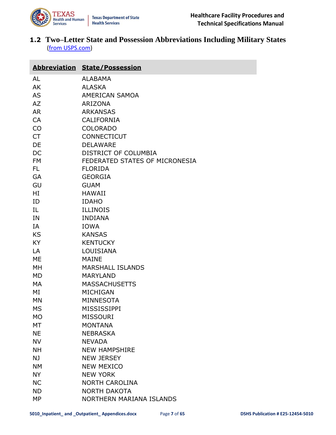

<span id="page-6-0"></span>**1.2 Two–Letter State and Possession Abbreviations Including Military States**  [\(from USPS.com\)](https://pe.usps.com/text/pub28/28apb.htm)

| <b>Abbreviation State/Possession</b> |           |                                |
|--------------------------------------|-----------|--------------------------------|
|                                      | AL        | <b>ALABAMA</b>                 |
|                                      | AK        | <b>ALASKA</b>                  |
|                                      | <b>AS</b> | AMERICAN SAMOA                 |
|                                      | AZ        | <b>ARIZONA</b>                 |
|                                      | <b>AR</b> | <b>ARKANSAS</b>                |
|                                      | CA        | <b>CALIFORNIA</b>              |
|                                      | CO        | <b>COLORADO</b>                |
|                                      | <b>CT</b> | <b>CONNECTICUT</b>             |
|                                      | DE        | <b>DELAWARE</b>                |
|                                      | DC        | DISTRICT OF COLUMBIA           |
|                                      | <b>FM</b> | FEDERATED STATES OF MICRONESIA |
|                                      | FL.       | <b>FLORIDA</b>                 |
|                                      | GA        | <b>GEORGIA</b>                 |
|                                      | GU        | <b>GUAM</b>                    |
|                                      | HI        | <b>HAWAII</b>                  |
|                                      | ID        | <b>IDAHO</b>                   |
|                                      | IL        | <b>ILLINOIS</b>                |
|                                      | IN        | <b>INDIANA</b>                 |
|                                      | IA        | <b>IOWA</b>                    |
|                                      | <b>KS</b> | <b>KANSAS</b>                  |
|                                      | KY        | <b>KENTUCKY</b>                |
|                                      | LA        | LOUISIANA                      |
|                                      | ME        | <b>MAINE</b>                   |
|                                      | MH        | <b>MARSHALL ISLANDS</b>        |
|                                      | MD        | <b>MARYLAND</b>                |
|                                      | МA        | <b>MASSACHUSETTS</b>           |
|                                      | ΜI        | MICHIGAN                       |
|                                      | MN        | <b>MINNESOTA</b>               |
|                                      | <b>MS</b> | <b>MISSISSIPPI</b>             |
|                                      | MO        | <b>MISSOURI</b>                |
|                                      | <b>MT</b> | <b>MONTANA</b>                 |
|                                      | <b>NE</b> | <b>NEBRASKA</b>                |
|                                      | <b>NV</b> | <b>NEVADA</b>                  |
|                                      | <b>NH</b> | <b>NEW HAMPSHIRE</b>           |
|                                      | NJ        | <b>NEW JERSEY</b>              |
|                                      | <b>NM</b> | <b>NEW MEXICO</b>              |
|                                      | <b>NY</b> | <b>NEW YORK</b>                |
|                                      | <b>NC</b> | <b>NORTH CAROLINA</b>          |
|                                      | <b>ND</b> | <b>NORTH DAKOTA</b>            |
|                                      | <b>MP</b> | NORTHERN MARIANA ISLANDS       |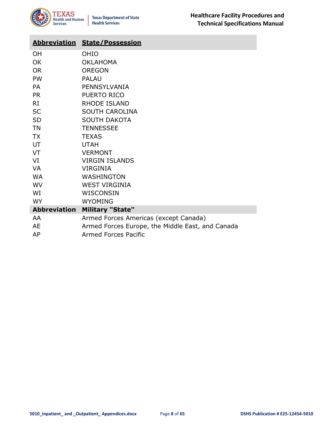| <b>Abbreviation</b> | <b>State/Possession</b>                          |
|---------------------|--------------------------------------------------|
| <b>OH</b>           | OHIO                                             |
| <b>OK</b>           | <b>OKLAHOMA</b>                                  |
| <b>OR</b>           | <b>OREGON</b>                                    |
| <b>PW</b>           | <b>PALAU</b>                                     |
| <b>PA</b>           | PENNSYLVANIA                                     |
| <b>PR</b>           | PUERTO RICO                                      |
| RI                  | <b>RHODE ISLAND</b>                              |
| <b>SC</b>           | <b>SOUTH CAROLINA</b>                            |
| <b>SD</b>           | <b>SOUTH DAKOTA</b>                              |
| <b>TN</b>           | <b>TENNESSEE</b>                                 |
| <b>TX</b>           | <b>TEXAS</b>                                     |
| UT                  | <b>UTAH</b>                                      |
| VT                  | <b>VERMONT</b>                                   |
| VI                  | <b>VIRGIN ISLANDS</b>                            |
| <b>VA</b>           | <b>VIRGINIA</b>                                  |
| <b>WA</b>           | WASHINGTON                                       |
| <b>WV</b>           | <b>WEST VIRGINIA</b>                             |
| WI                  | WISCONSIN                                        |
| <b>WY</b>           | <b>WYOMING</b>                                   |
| <b>Abbreviation</b> | <b>Military "State"</b>                          |
| AA.                 | Armed Forces Americas (except Canada)            |
| AE                  | Armed Forces Europe, the Middle East, and Canada |
| AP                  | <b>Armed Forces Pacific</b>                      |
|                     |                                                  |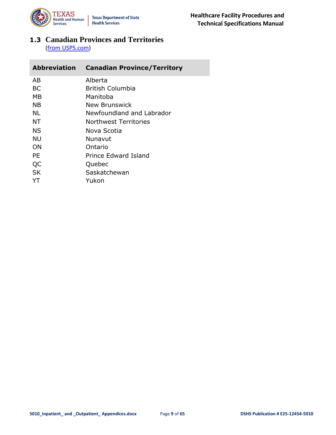

<span id="page-8-0"></span>**1.3 Canadian Provinces and Territories** [\(from USPS.com\)](https://pe.usps.com/text/pub28/28apa_005.htm)

| <b>Abbreviation</b> | <b>Canadian Province/Territory</b> |
|---------------------|------------------------------------|
| AB                  | Alberta                            |
| <b>BC</b>           | <b>British Columbia</b>            |
| MВ                  | Manitoba                           |
| ΝB                  | New Brunswick                      |
| NL                  | Newfoundland and Labrador          |
| NΤ                  | Northwest Territories              |
| <b>NS</b>           | Nova Scotia                        |
| NU                  | Nunavut                            |
| OΝ                  | Ontario                            |
| PE                  | Prince Edward Island               |
| QC                  | Quebec                             |
| <b>SK</b>           | Saskatchewan                       |
| YΤ                  | Yukon                              |
|                     |                                    |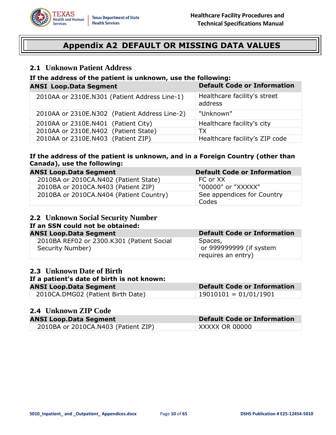<span id="page-9-0"></span>

**ANSI Loop.Data Segment Default Code or Information**

### **Appendix A2 DEFAULT OR MISSING DATA VALUES**

#### <span id="page-9-1"></span>**2.1 Unknown Patient Address**

# **If the address of the patient is unknown, use the following: ANSI Loop.Data Segment Default Code or Information**

| 2010AA or 2310E.N301 (Patient Address Line-1) | Healthcare facility's street<br>address |
|-----------------------------------------------|-----------------------------------------|
| 2010AA or 2310E.N302 (Patient Address Line-2) | "Unknown"                               |
| 2010AA or 2310E.N401 (Patient City)           | Healthcare facility's city              |
| 2010AA or 2310E.N402 (Patient State)          | ТX                                      |
| 2010AA or 2310E.N403 (Patient ZIP)            | Healthcare facility's ZIP code          |

#### **If the address of the patient is unknown, and in a Foreign Country (other than Canada), use the following:**

| <b>ANSI Loop.Data Segment</b>           | <b>Default Code or Information</b>  |
|-----------------------------------------|-------------------------------------|
| 2010BA or 2010CA.N402 (Patient State)   | FC or XX                            |
| 2010BA or 2010CA.N403 (Patient ZIP)     | "00000" or "XXXXX"                  |
| 2010BA or 2010CA.N404 (Patient Country) | See appendices for Country<br>Codes |

# <span id="page-9-2"></span>**2.2 Unknown Social Security Number**

# **If an SSN could not be obtained:**

| ANSI Loop.Data Segment                    | <b>Default Code or Information</b> |
|-------------------------------------------|------------------------------------|
| 2010BA REF02 or 2300.K301 (Patient Social | Spaces,                            |
| Security Number)                          | or 999999999 (if system            |
|                                           | requires an entry)                 |

#### <span id="page-9-3"></span>**2.3 Unknown Date of Birth**

#### **If a patient's date of birth is not known:**

#### **ANSI Loop.Data Segment Default Code or Information**

| ----- <i>---</i> -------------    |                       |
|-----------------------------------|-----------------------|
| 2010CA.DMG02 (Patient Birth Date) | 19010101 = 01/01/1901 |

#### <span id="page-9-4"></span>**2.4 Unknown ZIP Code**

| <b>ANSI Loop.Data Segment</b>       | <b>Default Code or Information</b> |
|-------------------------------------|------------------------------------|
| 2010BA or 2010CA.N403 (Patient ZIP) | <b>XXXXX OR 00000</b>              |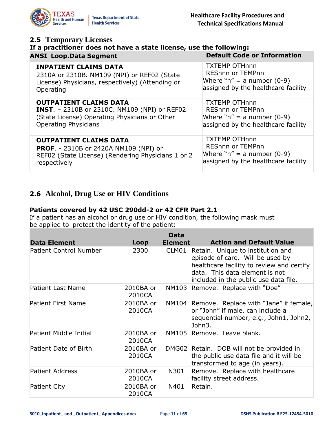<span id="page-10-0"></span>

| <b>2.5 Temporary Licenses</b><br>If a practitioner does not have a state license, use the following: |                                     |  |  |  |
|------------------------------------------------------------------------------------------------------|-------------------------------------|--|--|--|
| <b>ANSI Loop.Data Segment</b>                                                                        | <b>Default Code or Information</b>  |  |  |  |
| <b>INPATIENT CLAIMS DATA</b>                                                                         | <b>TXTEMP OTHnnn</b>                |  |  |  |
| 2310A or 2310B. NM109 (NPI) or REF02 (State                                                          | RESnnn or TEMPnn                    |  |  |  |
| License) Physicians, respectively) (Attending or                                                     | Where " $n'' = a$ number (0-9)      |  |  |  |
| Operating                                                                                            | assigned by the healthcare facility |  |  |  |
| <b>OUTPATIENT CLAIMS DATA</b>                                                                        | <b>TXTEMP OTHnnn</b>                |  |  |  |
| <b>INST.</b> - 2310B or 2310C. NM109 (NPI) or REF02                                                  | <b>RESnnn or TEMPnn</b>             |  |  |  |
| (State License) Operating Physicians or Other                                                        | Where "n" = a number $(0-9)$        |  |  |  |
| <b>Operating Physicians</b>                                                                          | assigned by the healthcare facility |  |  |  |
| <b>OUTPATIENT CLAIMS DATA</b>                                                                        | <b>TXTEMP OTHnnn</b>                |  |  |  |
| <b>PROF.</b> - 2310B or 2420A NM109 (NPI) or                                                         | <b>RESnnn or TEMPnn</b>             |  |  |  |
| REF02 (State License) (Rendering Physicians 1 or 2                                                   | Where "n" = a number $(0-9)$        |  |  |  |
| respectively                                                                                         | assigned by the healthcare facility |  |  |  |

#### <span id="page-10-1"></span>**2.6 Alcohol, Drug Use or HIV Conditions**

#### **Patients covered by 42 USC 290dd-2 or 42 CFR Part 2.1**

If a patient has an alcohol or drug use or HIV condition, the following mask must be applied to protect the identity of the patient:

| <b>Data Element</b>           | Loop                | <b>Data</b><br><b>Element</b> | <b>Action and Default Value</b>                                                                                                                                                               |
|-------------------------------|---------------------|-------------------------------|-----------------------------------------------------------------------------------------------------------------------------------------------------------------------------------------------|
| <b>Patient Control Number</b> | 2300                | CLM01                         | Retain. Unique to institution and<br>episode of care. Will be used by<br>healthcare facility to review and certify<br>data. This data element is not<br>included in the public use data file. |
| <b>Patient Last Name</b>      | 2010BA or<br>2010CA | NM103                         | Remove. Replace with "Doe"                                                                                                                                                                    |
| <b>Patient First Name</b>     | 2010BA or<br>2010CA |                               | NM104 Remove. Replace with "Jane" if female,<br>or "John" if male, can include a<br>sequential number, e.g., John1, John2,<br>John3.                                                          |
| Patient Middle Initial        | 2010BA or<br>2010CA |                               | NM105 Remove. Leave blank.                                                                                                                                                                    |
| Patient Date of Birth         | 2010BA or<br>2010CA |                               | DMG02 Retain. DOB will not be provided in<br>the public use data file and it will be<br>transformed to age (in years).                                                                        |
| <b>Patient Address</b>        | 2010BA or<br>2010CA | N301                          | Remove. Replace with healthcare<br>facility street address.                                                                                                                                   |
| <b>Patient City</b>           | 2010BA or<br>2010CA | N401                          | Retain.                                                                                                                                                                                       |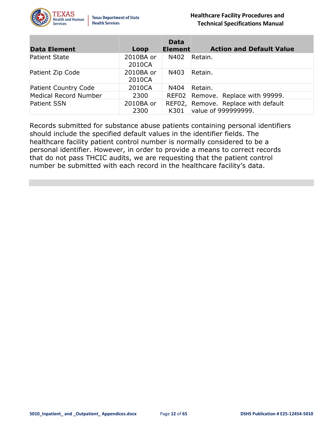

| <b>Data Element</b>         | Loop                | <b>Data</b><br><b>Element</b> | <b>Action and Default Value</b>                            |
|-----------------------------|---------------------|-------------------------------|------------------------------------------------------------|
| <b>Patient State</b>        | 2010BA or<br>2010CA | N402                          | Retain.                                                    |
| Patient Zip Code            | 2010BA or<br>2010CA | N403                          | Retain.                                                    |
| <b>Patient Country Code</b> | 2010CA              | N404                          | Retain.                                                    |
| Medical Record Number       | 2300                |                               | REF02 Remove. Replace with 99999.                          |
| <b>Patient SSN</b>          | 2010BA or<br>2300   | K301                          | REF02, Remove. Replace with default<br>value of 999999999. |

Records submitted for substance abuse patients containing personal identifiers should include the specified default values in the identifier fields. The healthcare facility patient control number is normally considered to be a personal identifier. However, in order to provide a means to correct records that do not pass THCIC audits, we are requesting that the patient control number be submitted with each record in the healthcare facility's data.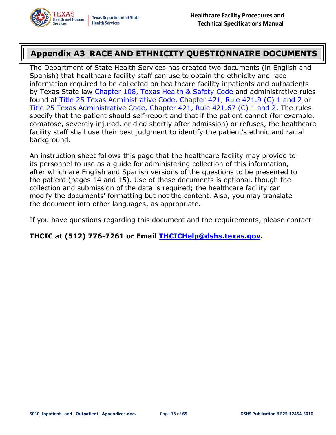## <span id="page-12-0"></span>**Appendix A3 RACE AND ETHNICITY QUESTIONNAIRE DOCUMENTS**

The Department of State Health Services has created two documents (in English and Spanish) that healthcare facility staff can use to obtain the ethnicity and race information required to be collected on healthcare facility inpatients and outpatients by Texas State law [Chapter 108, Texas Health & Safety Code](http://www.statutes.legis.state.tx.us/Docs/HS/htm/HS.108.htm) and administrative rules found at [Title 25 Texas Administrative Code, Chapter 421, Rule 421.9 \(C\) 1 and 2](https://texreg.sos.state.tx.us/public/readtac$ext.TacPage?sl=R&app=9&p_dir=&p_rloc=&p_tloc=&p_ploc=&pg=1&p_tac=&ti=25&pt=1&ch=421&rl=9) or [Title 25 Texas Administrative Code, Chapter 421, Rule 421.67 \(C\) 1 and 2.](https://texreg.sos.state.tx.us/public/readtac$ext.TacPage?sl=R&app=9&p_dir=&p_rloc=&p_tloc=&p_ploc=&pg=1&p_tac=&ti=25&pt=1&ch=421&rl=67) The rules specify that the patient should self-report and that if the patient cannot (for example, comatose, severely injured, or died shortly after admission) or refuses, the healthcare facility staff shall use their best judgment to identify the patient's ethnic and racial background.

An instruction sheet follows this page that the healthcare facility may provide to its personnel to use as a guide for administering collection of this information, after which are English and Spanish versions of the questions to be presented to the patient (pages 14 and 15). Use of these documents is optional, though the collection and submission of the data is required; the healthcare facility can modify the documents' formatting but not the content. Also, you may translate the document into other languages, as appropriate.

If you have questions regarding this document and the requirements, please contact

**THCIC at (512) 776-7261 or Email [THCICHelp@dshs.texas.gov.](mailto:THCICHelp@dshs.texas.gov)**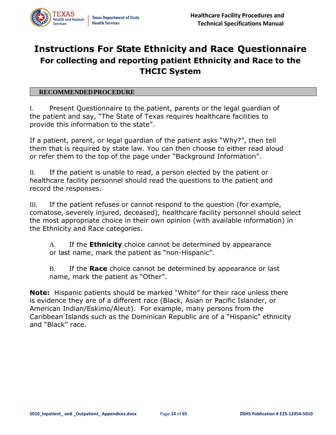# **Instructions For State Ethnicity and Race Questionnaire For collecting and reporting patient Ethnicity and Race to the THCIC System**

#### **RECOMMENDEDPROCEDURE**

I. Present Questionnaire to the patient, parents or the legal guardian of the patient and say, "The State of Texas requires healthcare facilities to provide this information to the state".

If a patient, parent, or legal guardian of the patient asks "Why?", then tell them that is required by state law. You can then choose to either read aloud or refer them to the top of the page under "Background Information".

II. If the patient is unable to read, a person elected by the patient or healthcare facility personnel should read the questions to the patient and record the responses.

III. If the patient refuses or cannot respond to the question (for example, comatose, severely injured, deceased), healthcare facility personnel should select the most appropriate choice in their own opinion (with available information) in the Ethnicity and Race categories.

A. If the **Ethnicity** choice cannot be determined by appearance or last name, mark the patient as "non-Hispanic".

B. If the **Race** choice cannot be determined by appearance or last name, mark the patient as "Other".

**Note:** Hispanic patients should be marked "White" for their race unless there is evidence they are of a different race (Black, Asian or Pacific Islander, or American Indian/Eskimo/Aleut). For example, many persons from the Caribbean Islands such as the Dominican Republic are of a "Hispanic" ethnicity and "Black" race.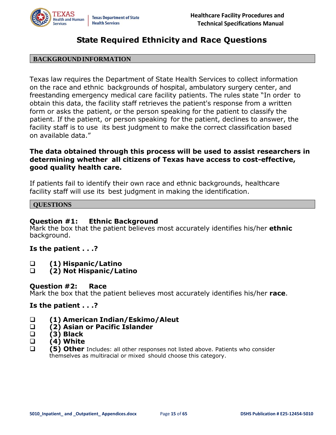

### **State Required Ethnicity and Race Questions**

#### **BACKGROUNDINFORMATION**

Texas law requires the Department of State Health Services to collect information on the race and ethnic backgrounds of hospital, ambulatory surgery center, and freestanding emergency medical care facility patients. The rules state "In order to obtain this data, the facility staff retrieves the patient's response from a written form or asks the patient, or the person speaking for the patient to classify the patient. If the patient, or person speaking for the patient, declines to answer, the facility staff is to use its best judgment to make the correct classification based on available data."

#### **The data obtained through this process will be used to assist researchers in determining whether all citizens of Texas have access to cost-effective, good quality health care.**

If patients fail to identify their own race and ethnic backgrounds, healthcare facility staff will use its best judgment in making the identification.

#### **QUESTIONS**

#### **Question #1: Ethnic Background**

Mark the box that the patient believes most accurately identifies his/her **ethnic** background.

#### **Is the patient . . .?**

- ❑ **(1) Hispanic/Latino**
- ❑ **(2) Not Hispanic/Latino**

#### **Question #2: Race**

Mark the box that the patient believes most accurately identifies his/her **race**.

#### **Is the patient . . .?**

- ❑ **(1) American Indian/Eskimo/Aleut**
- ❑ **(2) Asian or Pacific Islander**
- ❑ **(3) Black**
- ❑ **(4) White**
- ❑ **(5) Other** Includes: all other responses not listed above. Patients who consider themselves as multiracial or mixed should choose this category.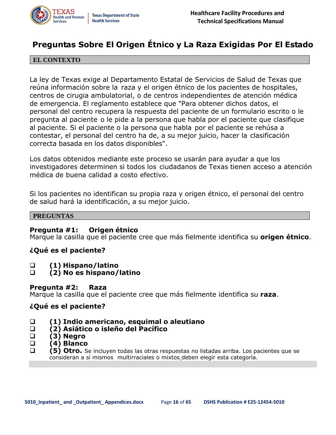

## **Preguntas Sobre El Origen Étnico y La Raza Exigidas Por El Estado**

#### **EL CONTEXTO**

La ley de Texas exige al Departamento Estatal de Servicios de Salud de Texas que reúna información sobre la raza y el origen étnico de los pacientes de hospitales, centros de cirugia ambulatorial, o de centros independientes de atención médica de emergencia. El reglamento establece que "Para obtener dichos datos, el personal del centro recupera la respuesta del paciente de un formulario escrito o le pregunta al paciente o le pide a la persona que habla por el paciente que clasifique al paciente. Si el paciente o la persona que habla por el paciente se rehúsa a contestar, el personal del centro ha de, a su mejor juicio, hacer la clasificación correcta basada en los datos disponibles".

Los datos obtenidos mediante este proceso se usarán para ayudar a que los investigadores determinen si todos los ciudadanos de Texas tienen acceso a atención médica de buena calidad a costo efectivo.

Si los pacientes no identifican su propia raza y origen étnico, el personal del centro de salud hará la identificación, a su mejor juicio.

#### **PREGUNTAS**

#### **Pregunta #1: Origen étnico**

Marque la casilla que el paciente cree que más fielmente identifica su **origen étnico**.

#### **¿Qué es el paciente?**

- ❑ **(1) Hispano/latino**
- ❑ **(2) No es hispano/latino**

#### **Pregunta #2: Raza**

Marque la casilla que el paciente cree que más fielmente identifica su **raza**.

#### **¿Qué es el paciente?**

- ❑ **(1) Indio americano, esquimal o aleutiano**
- ❑ **(2) Asiático o isleño del Pacífico**
- ❑ **(3) Negro**
- ❑ **(4) Blanco**
- ❑ **(5) Otro.** Se incluyen todas las otras respuestas no listadas arriba. Los pacientes que se consideran a sí mismos multirraciales o mixtos deben elegir esta categoría.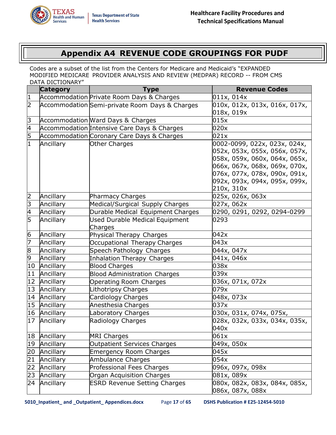# **Appendix A4 REVENUE CODE GROUPINGS FOR PUDF**

<span id="page-16-0"></span>Codes are a subset of the list from the Centers for Medicare and Medicaid's "EXPANDED MODIFIED MEDICARE PROVIDER ANALYSIS AND REVIEW (MEDPAR) RECORD -- FROM CMS DATA DICTIONARY"

|                | <b>Category</b> | <b>Type</b>                                    | <b>Revenue Codes</b>          |
|----------------|-----------------|------------------------------------------------|-------------------------------|
| 1              |                 | Accommodation Private Room Days & Charges      | 011x, 014x                    |
| 2              |                 | Accommodation Semi-private Room Days & Charges | 010x, 012x, 013x, 016x, 017x, |
|                |                 |                                                | 018x, 019x                    |
| З              |                 | Accommodation Ward Days & Charges              | 015x                          |
| $\overline{A}$ |                 | Accommodation Intensive Care Days & Charges    | 020x                          |
| $\overline{5}$ |                 | Accommodation Coronary Care Days & Charges     | 021x                          |
| $\mathbf{1}$   | Ancillary       | Other Charges                                  | 0002-0099, 022x, 023x, 024x,  |
|                |                 |                                                | 052x, 053x, 055x, 056x, 057x, |
|                |                 |                                                | 058x, 059x, 060x, 064x, 065x, |
|                |                 |                                                | 066x, 067x, 068x, 069x, 070x, |
|                |                 |                                                | 076x, 077x, 078x, 090x, 091x, |
|                |                 |                                                | 092x, 093x, 094x, 095x, 099x, |
|                |                 |                                                | 210x, 310x                    |
| 2              | Ancillary       | Pharmacy Charges                               | 025x, 026x, 063x              |
| 3              | Ancillary       | Medical/Surgical Supply Charges                | 027x, 062x                    |
| 4              | Ancillary       | Durable Medical Equipment Charges              | 0290, 0291, 0292, 0294-0299   |
| 5              | Ancillary       | <b>Used Durable Medical Equipment</b>          | 0293                          |
|                |                 | Charges                                        |                               |
| 6              | Ancillary       | Physical Therapy Charges                       | 042x                          |
| 7              | Ancillary       | Occupational Therapy Charges                   | 043x                          |
| 8              | Ancillary       | Speech Pathology Charges                       | 044x, 047x                    |
| 9              | Ancillary       | <b>Inhalation Therapy Charges</b>              | 041x, 046x                    |
| 10             | Ancillary       | <b>Blood Charges</b>                           | 038x                          |
| 11             | Ancillary       | <b>Blood Administration Charges</b>            | 039x                          |
| 12             | Ancillary       | <b>Operating Room Charges</b>                  | 036x, 071x, 072x              |
| 13             | Ancillary       | Lithotripsy Charges                            | 079x                          |
| 14             | Ancillary       | Cardiology Charges                             | 048x, 073x                    |
| 15             | Ancillary       | Anesthesia Charges                             | 037x                          |
| 16             | Ancillary       | Laboratory Charges                             | 030x, 031x, 074x, 075x,       |
| 17             | Ancillary       | Radiology Charges                              | 028x, 032x, 033x, 034x, 035x, |
|                |                 |                                                | 040x                          |
| 18             | Ancillary       | <b>MRI Charges</b>                             | 061x                          |
| 19             | Ancillary       | <b>Outpatient Services Charges</b>             | 049x, 050x                    |
| 20             | Ancillary       | <b>Emergency Room Charges</b>                  | 045x                          |
| 21             | Ancillary       | <b>Ambulance Charges</b>                       | 054x                          |
| 22             | Ancillary       | Professional Fees Charges                      | 096x, 097x, 098x              |
| 23             | Ancillary       | Organ Acquisition Charges                      | 081x, 089x                    |
| 24             | Ancillary       | <b>ESRD Revenue Setting Charges</b>            | 080x, 082x, 083x, 084x, 085x, |
|                |                 |                                                | 086x, 087x, 088x              |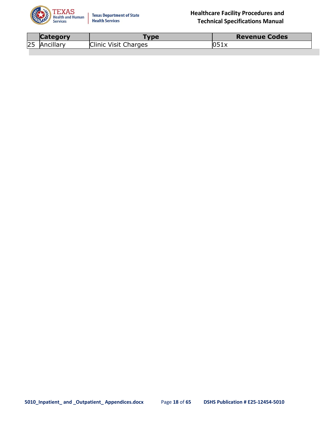

|            | nrv<br><b>Lategr</b> | <b>VDE</b>    | <b>Revenue Codes</b> |
|------------|----------------------|---------------|----------------------|
| $\sim$ $-$ | "IAnci               | Visit Charges | IUJIX                |
| <b>ZJ</b>  | rillarv.             | <b>Clinic</b> |                      |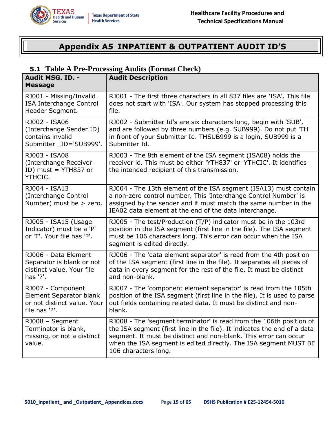<span id="page-18-0"></span>

# **Appendix A5 INPATIENT & OUTPATIENT AUDIT ID'S**

#### <span id="page-18-1"></span>**5.1 Table A Pre-Processing Audits (Format Check)**

| Audit MSG. ID. -<br><b>Message</b>                                                           | <b>Audit Description</b>                                                                                                                                                                                                                                                                                        |
|----------------------------------------------------------------------------------------------|-----------------------------------------------------------------------------------------------------------------------------------------------------------------------------------------------------------------------------------------------------------------------------------------------------------------|
| RJ001 - Missing/Invalid<br><b>ISA Interchange Control</b><br>Header Segment.                 | RJ001 - The first three characters in all 837 files are 'ISA'. This file<br>does not start with 'ISA'. Our system has stopped processing this<br>file.                                                                                                                                                          |
| RJ002 - ISA06<br>(Interchange Sender ID)<br>contains invalid<br>Submitter ID='SUB999'.       | RJ002 - Submitter Id's are six characters long, begin with 'SUB',<br>and are followed by three numbers (e.g. SUB999). Do not put 'TH'<br>in front of your Submitter Id. THSUB999 is a login, SUB999 is a<br>Submitter Id.                                                                                       |
| RJ003 - ISA08<br>(Interchange Receiver<br>ID) must = YTH837 or<br>YTHCIC.                    | RJ003 - The 8th element of the ISA segment (ISA08) holds the<br>receiver id. This must be either 'YTH837' or 'YTHCIC'. It identifies<br>the intended recipient of this transmission.                                                                                                                            |
| RJ004 - ISA13<br>(Interchange Control<br>Number) must be > zero.                             | RJ004 - The 13th element of the ISA segment (ISA13) must contain<br>a non-zero control number. This 'Interchange Control Number' is<br>assigned by the sender and it must match the same number in the<br>IEA02 data element at the end of the data interchange.                                                |
| RJ005 - ISA15 (Usage<br>Indicator) must be a 'P'<br>or 'T'. Your file has '?'.               | RJ005 - The test/Production (T/P) indicator must be in the 103rd<br>position in the ISA segment (first line in the file). The ISA segment<br>must be 106 characters long. This error can occur when the ISA<br>segment is edited directly.                                                                      |
| RJ006 - Data Element<br>Separator is blank or not<br>distinct value. Your file<br>has '?'.   | RJ006 - The 'data element separator' is read from the 4th position<br>of the ISA segment (first line in the file). It separates all pieces of<br>data in every segment for the rest of the file. It must be distinct<br>and non-blank.                                                                          |
| RJ007 - Component<br>Element Separator blank<br>or not distinct value. Your<br>file has '?'. | RJ007 - The 'component element separator' is read from the 105th<br>position of the ISA segment (first line in the file). It is used to parse<br>out fields containing related data. It must be distinct and non-<br>blank.                                                                                     |
| RJ008 - Segment<br>Terminator is blank,<br>missing, or not a distinct<br>value.              | RJ008 - The 'segment terminator' is read from the 106th position of<br>the ISA segment (first line in the file). It indicates the end of a data<br>segment. It must be distinct and non-blank. This error can occur<br>when the ISA segment is edited directly. The ISA segment MUST BE<br>106 characters long. |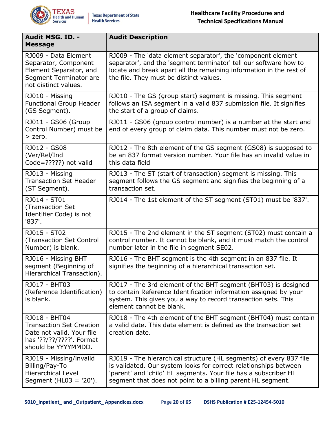

| Audit MSG. ID. -<br><b>Message</b>                                                                                               | <b>Audit Description</b>                                                                                                                                                                                                                                                 |
|----------------------------------------------------------------------------------------------------------------------------------|--------------------------------------------------------------------------------------------------------------------------------------------------------------------------------------------------------------------------------------------------------------------------|
| RJ009 - Data Element<br>Separator, Component<br>Element Separator, and<br>Segment Terminator are<br>not distinct values.         | RJ009 - The 'data element separator', the 'component element<br>separator', and the 'segment terminator' tell our software how to<br>locate and break apart all the remaining information in the rest of<br>the file. They must be distinct values.                      |
| RJ010 - Missing<br><b>Functional Group Header</b><br>(GS Segment).                                                               | RJ010 - The GS (group start) segment is missing. This segment<br>follows an ISA segment in a valid 837 submission file. It signifies<br>the start of a group of claims.                                                                                                  |
| RJ011 - GS06 (Group<br>Control Number) must be<br>$>$ zero.                                                                      | RJ011 - GS06 (group control number) is a number at the start and<br>end of every group of claim data. This number must not be zero.                                                                                                                                      |
| RJ012 - GS08<br>(Ver/Rel/Ind<br>Code=?????) not valid                                                                            | RJ012 - The 8th element of the GS segment (GS08) is supposed to<br>be an 837 format version number. Your file has an invalid value in<br>this data field                                                                                                                 |
| RJ013 - Missing<br><b>Transaction Set Header</b><br>(ST Segment).                                                                | RJ013 - The ST (start of transaction) segment is missing. This<br>segment follows the GS segment and signifies the beginning of a<br>transaction set.                                                                                                                    |
| RJ014 - ST01<br>(Transaction Set<br>Identifier Code) is not<br>'837'.                                                            | RJ014 - The 1st element of the ST segment (ST01) must be '837'.                                                                                                                                                                                                          |
| RJ015 - ST02<br>(Transaction Set Control<br>Number) is blank.                                                                    | RJ015 - The 2nd element in the ST segment (ST02) must contain a<br>control number. It cannot be blank, and it must match the control<br>number later in the file in segment SE02.                                                                                        |
| RJ016 - Missing BHT<br>segment (Beginning of<br>Hierarchical Transaction).                                                       | RJ016 - The BHT segment is the 4th segment in an 837 file. It<br>signifies the beginning of a hierarchical transaction set.                                                                                                                                              |
| RJ017 - BHT03<br>(Reference Identification)<br>is blank.                                                                         | RJ017 - The 3rd element of the BHT segment (BHT03) is designed<br>to contain Reference Identification information assigned by your<br>system. This gives you a way to record transaction sets. This<br>element cannot be blank.                                          |
| RJ018 - BHT04<br><b>Transaction Set Creation</b><br>Date not valid. Your file<br>has '??/??/????'. Format<br>should be YYYYMMDD. | RJ018 - The 4th element of the BHT segment (BHT04) must contain<br>a valid date. This data element is defined as the transaction set<br>creation date.                                                                                                                   |
| RJ019 - Missing/invalid<br>Billing/Pay-To<br><b>Hierarchical Level</b><br>Segment ( $HL03 = '20'$ ).                             | RJ019 - The hierarchical structure (HL segments) of every 837 file<br>is validated. Our system looks for correct relationships between<br>'parent' and 'child' HL segments. Your file has a subscriber HL<br>segment that does not point to a billing parent HL segment. |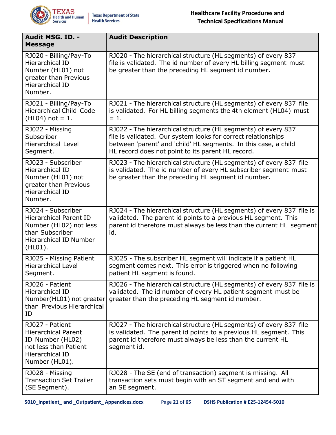

| Audit MSG. ID. -<br><b>Message</b>                                                                                                           | <b>Audit Description</b>                                                                                                                                                                                                                               |
|----------------------------------------------------------------------------------------------------------------------------------------------|--------------------------------------------------------------------------------------------------------------------------------------------------------------------------------------------------------------------------------------------------------|
| RJ020 - Billing/Pay-To<br>Hierarchical ID<br>Number (HL01) not<br>greater than Previous<br>Hierarchical ID<br>Number.                        | RJ020 - The hierarchical structure (HL segments) of every 837<br>file is validated. The id number of every HL billing segment must<br>be greater than the preceding HL segment id number.                                                              |
| RJ021 - Billing/Pay-To<br><b>Hierarchical Child Code</b><br>$(HL04)$ not = 1.                                                                | RJ021 - The hierarchical structure (HL segments) of every 837 file<br>is validated. For HL billing segments the 4th element (HL04) must<br>$= 1.$                                                                                                      |
| RJ022 - Missing<br>Subscriber<br><b>Hierarchical Level</b><br>Segment.                                                                       | RJ022 - The hierarchical structure (HL segments) of every 837<br>file is validated. Our system looks for correct relationships<br>between 'parent' and 'child' HL segments. In this case, a child<br>HL record does not point to its parent HL record. |
| RJ023 - Subscriber<br><b>Hierarchical ID</b><br>Number (HL01) not<br>greater than Previous<br>Hierarchical ID<br>Number.                     | RJ023 - The hierarchical structure (HL segments) of every 837 file<br>is validated. The id number of every HL subscriber segment must<br>be greater than the preceding HL segment id number.                                                           |
| RJ024 - Subscriber<br><b>Hierarchical Parent ID</b><br>Number (HL02) not less<br>than Subscriber<br><b>Hierarchical ID Number</b><br>(HLO1). | RJ024 - The hierarchical structure (HL segments) of every 837 file is<br>validated. The parent id points to a previous HL segment. This<br>parent id therefore must always be less than the current HL segment<br>id.                                  |
| RJ025 - Missing Patient<br><b>Hierarchical Level</b><br>Segment.                                                                             | RJ025 - The subscriber HL segment will indicate if a patient HL<br>segment comes next. This error is triggered when no following<br>patient HL segment is found.                                                                                       |
| RJ026 - Patient<br>Hierarchical ID<br>Number(HL01) not greater<br>than Previous Hierarchical<br>ID                                           | RJ026 - The hierarchical structure (HL segments) of every 837 file is<br>validated. The id number of every HL patient segment must be<br>greater than the preceding HL segment id number.                                                              |
| RJ027 - Patient<br><b>Hierarchical Parent</b><br>ID Number (HL02)<br>not less than Patient<br><b>Hierarchical ID</b><br>Number (HL01).       | RJ027 - The hierarchical structure (HL segments) of every 837 file<br>is validated. The parent id points to a previous HL segment. This<br>parent id therefore must always be less than the current HL<br>segment id.                                  |
| RJ028 - Missing<br><b>Transaction Set Trailer</b><br>(SE Segment).                                                                           | RJ028 - The SE (end of transaction) segment is missing. All<br>transaction sets must begin with an ST segment and end with<br>an SE segment.                                                                                                           |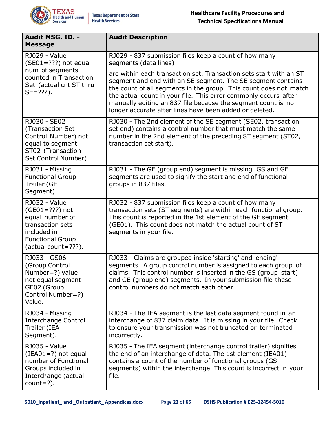

| Audit MSG. ID. -                                                                                                                                   | <b>Audit Description</b>                                                                                                                                                                                                                                                                                                                                                                             |
|----------------------------------------------------------------------------------------------------------------------------------------------------|------------------------------------------------------------------------------------------------------------------------------------------------------------------------------------------------------------------------------------------------------------------------------------------------------------------------------------------------------------------------------------------------------|
| <b>Message</b>                                                                                                                                     |                                                                                                                                                                                                                                                                                                                                                                                                      |
| <b>RJ029 - Value</b><br>$(SE01=???)$ not equal<br>num of segments<br>counted in Transaction<br>Set (actual cnt ST thru<br>$SE = ???$ ).            | RJ029 - 837 submission files keep a count of how many<br>segments (data lines)                                                                                                                                                                                                                                                                                                                       |
|                                                                                                                                                    | are within each transaction set. Transaction sets start with an ST<br>segment and end with an SE segment. The SE segment contains<br>the count of all segments in the group. This count does not match<br>the actual count in your file. This error commonly occurs after<br>manually editing an 837 file because the segment count is no<br>longer accurate after lines have been added or deleted. |
| RJ030 - SE02<br>(Transaction Set<br>Control Number) not<br>equal to segment<br>ST02 (Transaction<br>Set Control Number).                           | RJ030 - The 2nd element of the SE segment (SE02, transaction<br>set end) contains a control number that must match the same<br>number in the 2nd element of the preceding ST segment (ST02,<br>transaction set start).                                                                                                                                                                               |
| RJ031 - Missing<br><b>Functional Group</b><br>Trailer (GE<br>Segment).                                                                             | RJ031 - The GE (group end) segment is missing. GS and GE<br>segments are used to signify the start and end of functional<br>groups in 837 files.                                                                                                                                                                                                                                                     |
| <b>RJ032 - Value</b><br>$(GE01 = ???)$ not<br>equal number of<br>transaction sets<br>included in<br><b>Functional Group</b><br>(actual count=???). | RJ032 - 837 submission files keep a count of how many<br>transaction sets (ST segments) are within each functional group.<br>This count is reported in the 1st element of the GE segment<br>(GE01). This count does not match the actual count of ST<br>segments in your file.                                                                                                                       |
| RJ033 - GS06<br>(Group Control<br>Number=?) value<br>not equal segment<br>GE02 (Group<br>Control Number=?)<br>Value.                               | RJ033 - Claims are grouped inside 'starting' and 'ending'<br>segments. A group control number is assigned to each group of<br>claims. This control number is inserted in the GS (group start)<br>and GE (group end) segments. In your submission file these<br>control numbers do not match each other.                                                                                              |
| RJ034 - Missing<br><b>Interchange Control</b><br>Trailer (IEA<br>Segment).                                                                         | RJ034 - The IEA segment is the last data segment found in an<br>interchange of 837 claim data. It is missing in your file. Check<br>to ensure your transmission was not truncated or terminated<br>incorrectly.                                                                                                                                                                                      |
| <b>RJ035 - Value</b><br>$(IEAO1=?)$ not equal<br>number of Functional<br>Groups included in<br>Interchange (actual<br>$count=?$ ).                 | RJ035 - The IEA segment (interchange control trailer) signifies<br>the end of an interchange of data. The 1st element (IEA01)<br>contains a count of the number of functional groups (GS<br>segments) within the interchange. This count is incorrect in your<br>file.                                                                                                                               |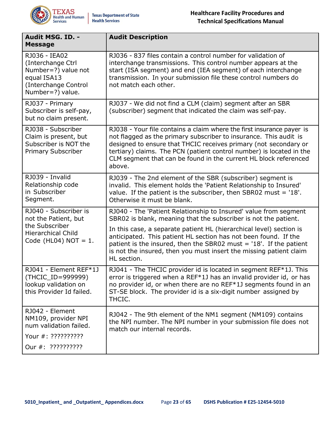

| Audit MSG. ID. -<br><b>Message</b>                                                                                      | <b>Audit Description</b>                                                                                                                                                                                                                                                                                                                                                                                                                   |
|-------------------------------------------------------------------------------------------------------------------------|--------------------------------------------------------------------------------------------------------------------------------------------------------------------------------------------------------------------------------------------------------------------------------------------------------------------------------------------------------------------------------------------------------------------------------------------|
| RJ036 - IEA02<br>(Interchange Ctrl<br>Number=?) value not<br>equal ISA13<br>(Interchange Control<br>Number=?) value.    | RJ036 - 837 files contain a control number for validation of<br>interchange transmissions. This control number appears at the<br>start (ISA segment) and end (IEA segment) of each interchange<br>transmission. In your submission file these control numbers do<br>not match each other.                                                                                                                                                  |
| RJ037 - Primary<br>Subscriber is self-pay,<br>but no claim present.                                                     | RJ037 - We did not find a CLM (claim) segment after an SBR<br>(subscriber) segment that indicated the claim was self-pay.                                                                                                                                                                                                                                                                                                                  |
| RJ038 - Subscriber<br>Claim is present, but<br>Subscriber is NOT the<br><b>Primary Subscriber</b>                       | RJ038 - Your file contains a claim where the first insurance payer is<br>not flagged as the primary subscriber to insurance. This audit is<br>designed to ensure that THCIC receives primary (not secondary or<br>tertiary) claims. The PCN (patient control number) is located in the<br>CLM segment that can be found in the current HL block referenced<br>above.                                                                       |
| RJ039 - Invalid<br>Relationship code<br>in Subscriber<br>Segment.                                                       | RJ039 - The 2nd element of the SBR (subscriber) segment is<br>invalid. This element holds the 'Patient Relationship to Insured'<br>value. If the patient is the subscriber, then SBR02 must = $18'$ .<br>Otherwise it must be blank.                                                                                                                                                                                                       |
| RJ040 - Subscriber is<br>not the Patient, but<br>the Subscriber<br><b>Hierarchical Child</b><br>Code (HL04) $NOT = 1$ . | RJ040 - The 'Patient Relationship to Insured' value from segment<br>SBR02 is blank, meaning that the subscriber is not the patient.<br>In this case, a separate patient HL (hierarchical level) section is<br>anticipated. This patient HL section has not been found. If the<br>patient is the insured, then the SBR02 must $=$ '18'. If the patient<br>is not the insured, then you must insert the missing patient claim<br>HL section. |
| RJ041 - Element REF*1J<br>(THCIC_ID=999999)<br>lookup validation on<br>this Provider Id failed.                         | RJ041 - The THCIC provider id is located in segment REF*1J. This<br>error is triggered when a REF*1J has an invalid provider id, or has<br>no provider id, or when there are no REF*1J segments found in an<br>ST-SE block. The provider id is a six-digit number assigned by<br>THCIC.                                                                                                                                                    |
| RJ042 - Element<br>NM109, provider NPI<br>num validation failed.<br>Your #: ??????????<br>Our #: ??????????             | RJ042 - The 9th element of the NM1 segment (NM109) contains<br>the NPI number. The NPI number in your submission file does not<br>match our internal records.                                                                                                                                                                                                                                                                              |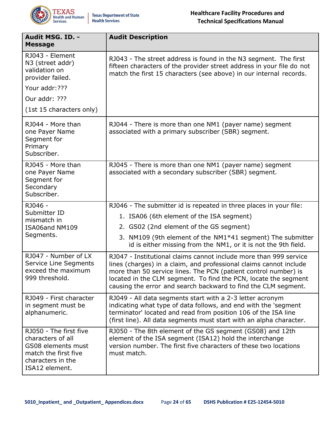

| Audit MSG. ID. -<br><b>Message</b>                                                                                               | <b>Audit Description</b>                                                                                                                                                                                                                                                                                                                        |
|----------------------------------------------------------------------------------------------------------------------------------|-------------------------------------------------------------------------------------------------------------------------------------------------------------------------------------------------------------------------------------------------------------------------------------------------------------------------------------------------|
| RJ043 - Element<br>N3 (street addr)<br>validation on<br>provider failed.                                                         | RJ043 - The street address is found in the N3 segment. The first<br>fifteen characters of the provider street address in your file do not<br>match the first 15 characters (see above) in our internal records.                                                                                                                                 |
| Your addr: ???                                                                                                                   |                                                                                                                                                                                                                                                                                                                                                 |
| Our addr: ???                                                                                                                    |                                                                                                                                                                                                                                                                                                                                                 |
| (1st 15 characters only)                                                                                                         |                                                                                                                                                                                                                                                                                                                                                 |
| RJ044 - More than<br>one Payer Name<br>Segment for<br>Primary<br>Subscriber.                                                     | RJ044 - There is more than one NM1 (payer name) segment<br>associated with a primary subscriber (SBR) segment.                                                                                                                                                                                                                                  |
| RJ045 - More than<br>one Payer Name<br>Segment for<br>Secondary<br>Subscriber.                                                   | RJ045 - There is more than one NM1 (payer name) segment<br>associated with a secondary subscriber (SBR) segment.                                                                                                                                                                                                                                |
| RJ046 -<br>Submitter ID                                                                                                          | RJ046 - The submitter id is repeated in three places in your file:                                                                                                                                                                                                                                                                              |
| mismatch in                                                                                                                      | 1. ISA06 (6th element of the ISA segment)                                                                                                                                                                                                                                                                                                       |
| ISA06and NM109<br>Segments.                                                                                                      | 2. GS02 (2nd element of the GS segment)                                                                                                                                                                                                                                                                                                         |
|                                                                                                                                  | 3. NM109 (9th element of the NM1*41 segment) The submitter<br>id is either missing from the NM1, or it is not the 9th field.                                                                                                                                                                                                                    |
| RJ047 - Number of LX<br>Service Line Segments<br>exceed the maximum<br>999 threshold.                                            | RJ047 - Institutional claims cannot include more than 999 service<br>lines (charges) in a claim, and professional claims cannot include<br>more than 50 service lines. The PCN (patient control number) is<br>located in the CLM segment. To find the PCN, locate the segment<br>causing the error and search backward to find the CLM segment. |
| RJ049 - First character<br>in segment must be<br>alphanumeric.                                                                   | RJ049 - All data segments start with a 2-3 letter acronym<br>indicating what type of data follows, and end with the 'segment<br>terminator' located and read from position 106 of the ISA line<br>(first line). All data segments must start with an alpha character.                                                                           |
| RJ050 - The first five<br>characters of all<br>GS08 elements must<br>match the first five<br>characters in the<br>ISA12 element. | RJ050 - The 8th element of the GS segment (GS08) and 12th<br>element of the ISA segment (ISA12) hold the interchange<br>version number. The first five characters of these two locations<br>must match.                                                                                                                                         |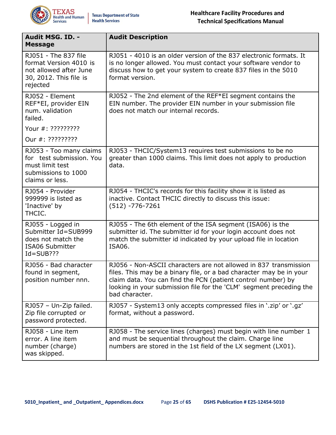

| Audit MSG. ID. -<br><b>Message</b>                                                                               | <b>Audit Description</b>                                                                                                                                                                                                                                                                         |
|------------------------------------------------------------------------------------------------------------------|--------------------------------------------------------------------------------------------------------------------------------------------------------------------------------------------------------------------------------------------------------------------------------------------------|
| RJ051 - The 837 file<br>format Version 4010 is<br>not allowed after June<br>30, 2012. This file is<br>rejected   | RJ051 - 4010 is an older version of the 837 electronic formats. It<br>is no longer allowed. You must contact your software vendor to<br>discuss how to get your system to create 837 files in the 5010<br>format version.                                                                        |
| RJ052 - Element<br>REF*EI, provider EIN<br>num. validation<br>failed.                                            | RJ052 - The 2nd element of the REF*EI segment contains the<br>EIN number. The provider EIN number in your submission file<br>does not match our internal records.                                                                                                                                |
| Your #: ?????????                                                                                                |                                                                                                                                                                                                                                                                                                  |
| Our #: ?????????                                                                                                 |                                                                                                                                                                                                                                                                                                  |
| RJ053 - Too many claims<br>for test submission. You<br>must limit test<br>submissions to 1000<br>claims or less. | RJ053 - THCIC/System13 requires test submissions to be no<br>greater than 1000 claims. This limit does not apply to production<br>data.                                                                                                                                                          |
| RJ054 - Provider<br>999999 is listed as<br>'Inactive' by<br>THCIC.                                               | RJ054 - THCIC's records for this facility show it is listed as<br>inactive. Contact THCIC directly to discuss this issue:<br>$(512) - 776 - 7261$                                                                                                                                                |
| RJ055 - Logged in<br>Submitter Id=SUB999<br>does not match the<br><b>ISA06 Submitter</b><br>$Id = SUB??$         | RJ055 - The 6th element of the ISA segment (ISA06) is the<br>submitter id. The submitter id for your login account does not<br>match the submitter id indicated by your upload file in location<br>ISA06.                                                                                        |
| RJ056 - Bad character<br>found in segment,<br>position number nnn.                                               | RJ056 - Non-ASCII characters are not allowed in 837 transmission<br>files. This may be a binary file, or a bad character may be in your<br>claim data. You can find the PCN (patient control number) by<br>looking in your submission file for the 'CLM' segment preceding the<br>bad character. |
| RJ057 - Un-Zip failed.<br>Zip file corrupted or<br>password protected.                                           | RJ057 - System13 only accepts compressed files in '.zip' or '.gz'<br>format, without a password.                                                                                                                                                                                                 |
| RJ058 - Line item<br>error. A line item<br>number (charge)<br>was skipped.                                       | RJ058 - The service lines (charges) must begin with line number 1<br>and must be sequential throughout the claim. Charge line<br>numbers are stored in the 1st field of the LX segment (LX01).                                                                                                   |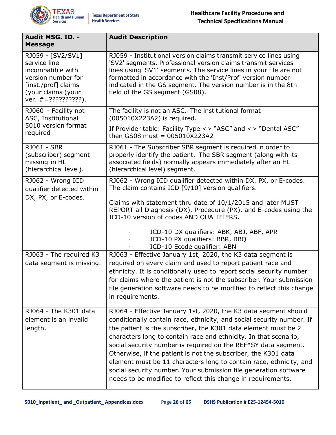

| Audit MSG. ID. -<br><b>Message</b>                                                                                                                | <b>Audit Description</b>                                                                                                                                                                                                                                                                                                                                                                                                                                                         |  |  |
|---------------------------------------------------------------------------------------------------------------------------------------------------|----------------------------------------------------------------------------------------------------------------------------------------------------------------------------------------------------------------------------------------------------------------------------------------------------------------------------------------------------------------------------------------------------------------------------------------------------------------------------------|--|--|
| RJ059 - [SV2/SV1]<br>service line<br>incompatible with<br>version number for<br>[inst./prof] claims<br>(your claims (your<br>ver. $# = ?????????$ | RJ059 - Institutional version claims transmit service lines using<br>'SV2' segments. Professional version claims transmit services<br>lines using 'SV1' segments. The service lines in your file are not<br>formatted in accordance with the 'Inst/Prof' version number<br>indicated in the GS segment. The version number is in the 8th<br>field of the GS segment (GS08).                                                                                                      |  |  |
| RJ060 - Facility not<br>ASC, Institutional                                                                                                        | The facility is not an ASC. The institutional format<br>(005010X223A2) is required.                                                                                                                                                                                                                                                                                                                                                                                              |  |  |
| 5010 version format<br>required                                                                                                                   | If Provider table: Facility Type <> "ASC" and <> "Dental ASC"<br>then GS08 must = $005010X223A2$                                                                                                                                                                                                                                                                                                                                                                                 |  |  |
| RJ061 - SBR<br>(subscriber) segment<br>missing in HL<br>(hierarchical level).                                                                     | RJ061 - The Subscriber SBR segment is required in order to<br>properly identify the patient. The SBR segment (along with its<br>associated fields) normally appears immediately after an HL<br>(hierarchical level) segment.                                                                                                                                                                                                                                                     |  |  |
| RJ062 - Wrong ICD<br>qualifier detected within                                                                                                    | RJ062 - Wrong ICD qualifier detected within DX, PX, or E-codes.<br>The claim contains ICD [9/10] version qualifiers.                                                                                                                                                                                                                                                                                                                                                             |  |  |
| DX, PX, or E-codes.                                                                                                                               | Claims with statement thru date of 10/1/2015 and later MUST<br>REPORT all Diagnosis (DX), Procedure (PX), and E-codes using the<br>ICD-10 version of codes AND QUALIFIERS.                                                                                                                                                                                                                                                                                                       |  |  |
|                                                                                                                                                   | ICD-10 DX qualifiers: ABK, ABJ, ABF, APR<br>ICD-10 PX qualifiers: BBR, BBQ<br>ICD-10 Ecode qualifier: ABN                                                                                                                                                                                                                                                                                                                                                                        |  |  |
| RJ063 - The required K3                                                                                                                           | RJ063 - Effective January 1st, 2020, the K3 data segment is                                                                                                                                                                                                                                                                                                                                                                                                                      |  |  |
| data segment is missing.                                                                                                                          | required on every claim and used to report patient race and                                                                                                                                                                                                                                                                                                                                                                                                                      |  |  |
|                                                                                                                                                   | ethnicity. It is conditionally used to report social security number<br>for claims where the patient is not the subscriber. Your submission                                                                                                                                                                                                                                                                                                                                      |  |  |
|                                                                                                                                                   | file generation software needs to be modified to reflect this change                                                                                                                                                                                                                                                                                                                                                                                                             |  |  |
|                                                                                                                                                   | in requirements.                                                                                                                                                                                                                                                                                                                                                                                                                                                                 |  |  |
| RJ064 - The K301 data                                                                                                                             | RJ064 - Effective January 1st, 2020, the K3 data segment should                                                                                                                                                                                                                                                                                                                                                                                                                  |  |  |
| element is an invalid                                                                                                                             | conditionally contain race, ethnicity, and social security number. If                                                                                                                                                                                                                                                                                                                                                                                                            |  |  |
| length.                                                                                                                                           | the patient is the subscriber, the K301 data element must be 2<br>characters long to contain race and ethnicity. In that scenario,<br>social security number is required on the REF*SY data segment.<br>Otherwise, if the patient is not the subscriber, the K301 data<br>element must be 11 characters long to contain race, ethnicity, and<br>social security number. Your submission file generation software<br>needs to be modified to reflect this change in requirements. |  |  |
|                                                                                                                                                   |                                                                                                                                                                                                                                                                                                                                                                                                                                                                                  |  |  |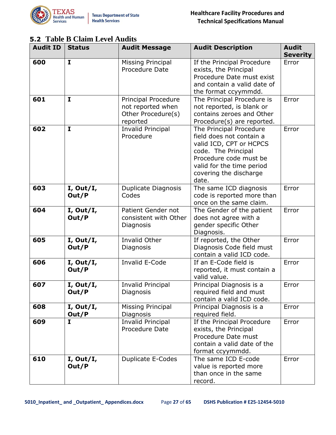

#### <span id="page-26-0"></span>**5.2 Table B Claim Level Audits**

| <b>Audit ID</b> | <b>Status</b>      | <b>Audit Message</b>                                                       | <b>Audit Description</b>                                                                                                                                                                        | <b>Audit</b><br><b>Severity</b> |
|-----------------|--------------------|----------------------------------------------------------------------------|-------------------------------------------------------------------------------------------------------------------------------------------------------------------------------------------------|---------------------------------|
| 600             | $\mathbf I$        | <b>Missing Principal</b><br><b>Procedure Date</b>                          | If the Principal Procedure<br>exists, the Principal<br>Procedure Date must exist<br>and contain a valid date of<br>the format ccyymmdd.                                                         | Error                           |
| 601             | $\mathbf{I}$       | Principal Procedure<br>not reported when<br>Other Procedure(s)<br>reported | The Principal Procedure is<br>not reported, is blank or<br>contains zeroes and Other<br>Procedure(s) are reported.                                                                              | Error                           |
| 602             | $\mathbf{I}$       | <b>Invalid Principal</b><br>Procedure                                      | The Principal Procedure<br>field does not contain a<br>valid ICD, CPT or HCPCS<br>code. The Principal<br>Procedure code must be<br>valid for the time period<br>covering the discharge<br>date. | Error                           |
| 603             | I, Out/I,<br>Out/P | Duplicate Diagnosis<br>Codes                                               | The same ICD diagnosis<br>code is reported more than<br>once on the same claim.                                                                                                                 | Error                           |
| 604             | I, Out/I,<br>Out/P | Patient Gender not<br>consistent with Other<br>Diagnosis                   | The Gender of the patient<br>does not agree with a<br>gender specific Other<br>Diagnosis.                                                                                                       | Error                           |
| 605             | I, Out/I,<br>Out/P | Invalid Other<br>Diagnosis                                                 | If reported, the Other<br>Diagnosis Code field must<br>contain a valid ICD code.                                                                                                                | Error                           |
| 606             | I, Out/I,<br>Out/P | <b>Invalid E-Code</b>                                                      | If an E-Code field is<br>reported, it must contain a<br>valid value.                                                                                                                            | Error                           |
| 607             | I, Out/I,<br>Out/P | <b>Invalid Principal</b><br>Diagnosis                                      | Principal Diagnosis is a<br>required field and must<br>contain a valid ICD code.                                                                                                                | Error                           |
| 608             | I, Out/I,<br>Out/P | <b>Missing Principal</b><br>Diagnosis                                      | Principal Diagnosis is a<br>required field.                                                                                                                                                     | Error                           |
| 609             | I                  | <b>Invalid Principal</b><br>Procedure Date                                 | If the Principal Procedure<br>exists, the Principal<br>Procedure Date must<br>contain a valid date of the<br>format ccyymmdd.                                                                   | Error                           |
| 610             | I, Out/I,<br>Out/P | <b>Duplicate E-Codes</b>                                                   | The same ICD E-code<br>value is reported more<br>than once in the same<br>record.                                                                                                               | Error                           |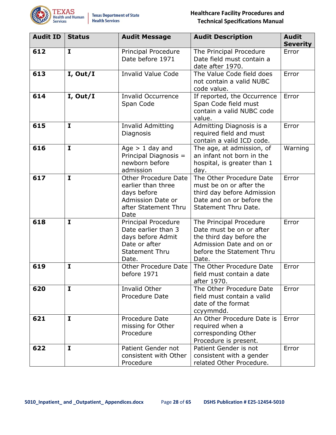

| <b>Audit ID</b> | <b>Status</b> | <b>Audit Message</b>                                                                                                         | <b>Audit Description</b>                                                                                                                          | <b>Audit</b><br><b>Severity</b> |
|-----------------|---------------|------------------------------------------------------------------------------------------------------------------------------|---------------------------------------------------------------------------------------------------------------------------------------------------|---------------------------------|
| 612             | $\mathbf{I}$  | <b>Principal Procedure</b><br>Date before 1971                                                                               | The Principal Procedure<br>Date field must contain a<br>date after 1970.                                                                          | Error                           |
| 613             | I, Out/I      | <b>Invalid Value Code</b>                                                                                                    | The Value Code field does<br>not contain a valid NUBC<br>code value.                                                                              | Error                           |
| 614             | I, Out/I      | <b>Invalid Occurrence</b><br>Span Code                                                                                       | If reported, the Occurrence<br>Span Code field must<br>contain a valid NUBC code<br>value.                                                        | Error                           |
| 615             | $\mathbf{I}$  | Invalid Admitting<br>Diagnosis                                                                                               | Admitting Diagnosis is a<br>required field and must<br>contain a valid ICD code.                                                                  | Error                           |
| 616             | $\mathbf{I}$  | Age $> 1$ day and<br>Principal Diagnosis =<br>newborn before<br>admission                                                    | The age, at admission, of<br>an infant not born in the<br>hospital, is greater than 1<br>day.                                                     | Warning                         |
| 617             | $\mathbf{I}$  | <b>Other Procedure Date</b><br>earlier than three<br>days before<br><b>Admission Date or</b><br>after Statement Thru<br>Date | The Other Procedure Date<br>must be on or after the<br>third day before Admission<br>Date and on or before the<br>Statement Thru Date.            | Error                           |
| 618             | I             | <b>Principal Procedure</b><br>Date earlier than 3<br>days before Admit<br>Date or after<br><b>Statement Thru</b><br>Date.    | The Principal Procedure<br>Date must be on or after<br>the third day before the<br>Admission Date and on or<br>before the Statement Thru<br>Date. | Error                           |
| 619             | I             | <b>Other Procedure Date</b><br>before 1971                                                                                   | The Other Procedure Date<br>field must contain a date<br>after 1970.                                                                              | Error                           |
| 620             | $\mathbf{I}$  | Invalid Other<br>Procedure Date                                                                                              | The Other Procedure Date<br>field must contain a valid<br>date of the format<br>ccyymmdd.                                                         | Error                           |
| 621             | $\mathbf{I}$  | Procedure Date<br>missing for Other<br>Procedure                                                                             | An Other Procedure Date is<br>required when a<br>corresponding Other<br>Procedure is present.                                                     | Error                           |
| 622             | I             | Patient Gender not<br>consistent with Other<br>Procedure                                                                     | Patient Gender is not<br>consistent with a gender<br>related Other Procedure.                                                                     | Error                           |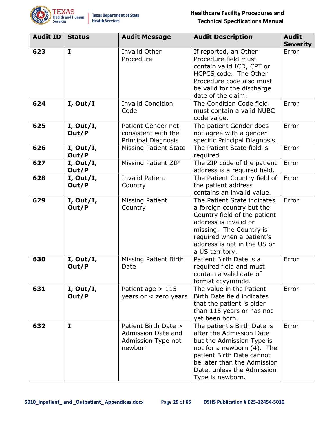

| <b>Audit ID</b> | <b>Status</b>      | <b>Audit Message</b>                                                        | <b>Audit Description</b>                                                                                                                                                                                                         | <b>Audit</b><br><b>Severity</b> |
|-----------------|--------------------|-----------------------------------------------------------------------------|----------------------------------------------------------------------------------------------------------------------------------------------------------------------------------------------------------------------------------|---------------------------------|
| 623             | $\mathbf{I}$       | Invalid Other<br>Procedure                                                  | If reported, an Other<br>Procedure field must<br>contain valid ICD, CPT or<br>HCPCS code. The Other<br>Procedure code also must<br>be valid for the discharge<br>date of the claim.                                              | Error                           |
| 624             | I, Out/I           | <b>Invalid Condition</b><br>Code                                            | The Condition Code field<br>must contain a valid NUBC<br>code value.                                                                                                                                                             | Error                           |
| 625             | I, Out/I,<br>Out/P | Patient Gender not<br>consistent with the<br>Principal Diagnosis            | The patient Gender does<br>not agree with a gender<br>specific Principal Diagnosis.                                                                                                                                              | Error                           |
| 626             | I, Out/I,<br>Out/P | <b>Missing Patient State</b>                                                | The Patient State field is<br>required.                                                                                                                                                                                          | Error                           |
| 627             | I, Out/I,<br>Out/P | <b>Missing Patient ZIP</b>                                                  | The ZIP code of the patient<br>address is a required field.                                                                                                                                                                      | Error                           |
| 628             | I, Out/I,<br>Out/P | <b>Invalid Patient</b><br>Country                                           | The Patient Country field of<br>the patient address<br>contains an invalid value.                                                                                                                                                | Error                           |
| 629             | I, Out/I,<br>Out/P | <b>Missing Patient</b><br>Country                                           | The Patient State indicates<br>a foreign country but the<br>Country field of the patient<br>address is invalid or<br>missing. The Country is<br>required when a patient's<br>address is not in the US or<br>a US territory.      | Error                           |
| 630             | I, Out/I,<br>Out/P | <b>Missing Patient Birth</b><br>Date                                        | Patient Birth Date is a<br>required field and must<br>contain a valid date of<br>format ccyymmdd.                                                                                                                                | Error                           |
| 631             | I, Out/I,<br>Out/P | Patient age $> 115$<br>years or < zero years                                | The value in the Patient<br>Birth Date field indicates<br>that the patient is older<br>than 115 years or has not<br>yet been born.                                                                                               | Error                           |
| 632             | $\mathbf{I}$       | Patient Birth Date ><br>Admission Date and<br>Admission Type not<br>newborn | The patient's Birth Date is<br>after the Admission Date<br>but the Admission Type is<br>not for a newborn (4). The<br>patient Birth Date cannot<br>be later than the Admission<br>Date, unless the Admission<br>Type is newborn. | Error                           |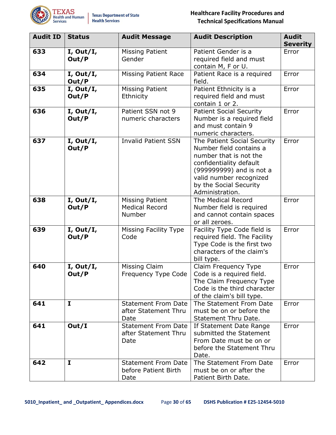

| <b>Audit ID</b> | <b>Status</b>      | <b>Audit Message</b>                                       | <b>Audit Description</b>                                                                                                                                                                                       | <b>Audit</b><br><b>Severity</b> |
|-----------------|--------------------|------------------------------------------------------------|----------------------------------------------------------------------------------------------------------------------------------------------------------------------------------------------------------------|---------------------------------|
| 633             | I, Out/I,<br>Out/P | <b>Missing Patient</b><br>Gender                           | Patient Gender is a<br>required field and must<br>contain M, F or U.                                                                                                                                           | Error                           |
| 634             | I, Out/I,<br>Out/P | <b>Missing Patient Race</b>                                | Patient Race is a required<br>field.                                                                                                                                                                           | Error                           |
| 635             | I, Out/I,<br>Out/P | <b>Missing Patient</b><br>Ethnicity                        | Patient Ethnicity is a<br>required field and must<br>contain 1 or 2.                                                                                                                                           | Error                           |
| 636             | I, Out/I,<br>Out/P | Patient SSN not 9<br>numeric characters                    | <b>Patient Social Security</b><br>Number is a required field<br>and must contain 9<br>numeric characters.                                                                                                      | Error                           |
| 637             | I, Out/I,<br>Out/P | <b>Invalid Patient SSN</b>                                 | The Patient Social Security<br>Number field contains a<br>number that is not the<br>confidentiality default<br>(99999999) and is not a<br>valid number recognized<br>by the Social Security<br>Administration. | Error                           |
| 638             | I, Out/I,<br>Out/P | <b>Missing Patient</b><br><b>Medical Record</b><br>Number  | The Medical Record<br>Number field is required<br>and cannot contain spaces<br>or all zeroes.                                                                                                                  | Error                           |
| 639             | I, Out/I,<br>Out/P | Missing Facility Type<br>Code                              | Facility Type Code field is<br>required field. The Facility<br>Type Code is the first two<br>characters of the claim's<br>bill type.                                                                           | Error                           |
| 640             | I, Out/I,<br>Out/P | Missing Claim<br>Frequency Type Code                       | Claim Frequency Type<br>Code is a required field.<br>The Claim Frequency Type<br>Code is the third character<br>of the claim's bill type.                                                                      | Error                           |
| 641             | I                  | <b>Statement From Date</b><br>after Statement Thru<br>Date | The Statement From Date<br>must be on or before the<br>Statement Thru Date.                                                                                                                                    | Error                           |
| 641             | Out/I              | <b>Statement From Date</b><br>after Statement Thru<br>Date | If Statement Date Range<br>submitted the Statement<br>From Date must be on or<br>before the Statement Thru<br>Date.                                                                                            | Error                           |
| 642             | $\mathbf{I}$       | <b>Statement From Date</b><br>before Patient Birth<br>Date | The Statement From Date<br>must be on or after the<br>Patient Birth Date.                                                                                                                                      | Error                           |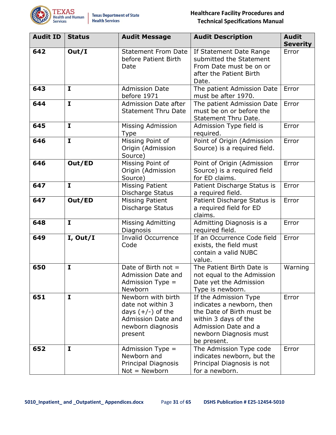

| <b>Audit ID</b> | <b>Status</b> | <b>Audit Message</b>                                                                                                 | <b>Audit Description</b>                                                                                                                                                 | <b>Audit</b><br><b>Severity</b> |
|-----------------|---------------|----------------------------------------------------------------------------------------------------------------------|--------------------------------------------------------------------------------------------------------------------------------------------------------------------------|---------------------------------|
| 642             | Out/I         | <b>Statement From Date</b><br>before Patient Birth<br>Date                                                           | If Statement Date Range<br>submitted the Statement<br>From Date must be on or<br>after the Patient Birth<br>Date.                                                        | Error                           |
| 643             | $\mathbf{I}$  | <b>Admission Date</b><br>before 1971                                                                                 | The patient Admission Date<br>must be after 1970.                                                                                                                        | Error                           |
| 644             | I             | <b>Admission Date after</b><br><b>Statement Thru Date</b>                                                            | The patient Admission Date<br>must be on or before the<br>Statement Thru Date.                                                                                           | Error                           |
| 645             | $\mathbf{I}$  | Missing Admission<br><b>Type</b>                                                                                     | Admission Type field is<br>required.                                                                                                                                     | Error                           |
| 646             | $\mathbf{I}$  | Missing Point of<br>Origin (Admission<br>Source)                                                                     | Point of Origin (Admission<br>Source) is a required field.                                                                                                               | Error                           |
| 646             | Out/ED        | Missing Point of<br>Origin (Admission<br>Source)                                                                     | Point of Origin (Admission<br>Source) is a required field<br>for ED claims.                                                                                              | Error                           |
| 647             | $\mathbf{I}$  | <b>Missing Patient</b><br>Discharge Status                                                                           | Patient Discharge Status is<br>a required field.                                                                                                                         | Error                           |
| 647             | Out/ED        | <b>Missing Patient</b><br>Discharge Status                                                                           | Patient Discharge Status is<br>a required field for ED<br>claims.                                                                                                        | Error                           |
| 648             | $\mathbf{I}$  | <b>Missing Admitting</b><br>Diagnosis                                                                                | Admitting Diagnosis is a<br>required field.                                                                                                                              | Error                           |
| 649             | I, Out/I      | <b>Invalid Occurrence</b><br>Code                                                                                    | If an Occurrence Code field<br>exists, the field must<br>contain a valid NUBC<br>value.                                                                                  | Error                           |
| 650             | $\mathbf I$   | Date of Birth not $=$<br>Admission Date and<br>Admission Type $=$<br>Newborn                                         | The Patient Birth Date is<br>not equal to the Admission<br>Date yet the Admission<br>Type is newborn.                                                                    | Warning                         |
| 651             | $\mathbf I$   | Newborn with birth<br>date not within 3<br>days $(+/-)$ of the<br>Admission Date and<br>newborn diagnosis<br>present | If the Admission Type<br>indicates a newborn, then<br>the Date of Birth must be<br>within 3 days of the<br>Admission Date and a<br>newborn Diagnosis must<br>be present. | Error                           |
| 652             | I             | Admission Type $=$<br>Newborn and<br>Principal Diagnosis<br>Not = Newborn                                            | The Admission Type code<br>indicates newborn, but the<br>Principal Diagnosis is not<br>for a newborn.                                                                    | Error                           |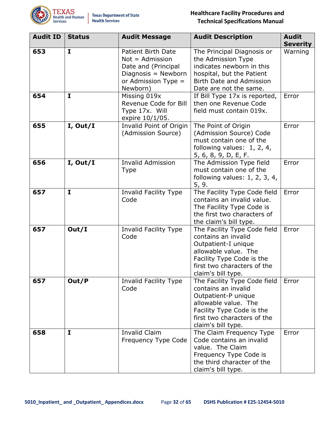

| <b>Audit ID</b> | <b>Status</b> | <b>Audit Message</b>                                                                                                        | <b>Audit Description</b>                                                                                                                                                             | <b>Audit</b><br><b>Severity</b> |
|-----------------|---------------|-----------------------------------------------------------------------------------------------------------------------------|--------------------------------------------------------------------------------------------------------------------------------------------------------------------------------------|---------------------------------|
| 653             | $\mathbf{I}$  | Patient Birth Date<br>$Not =$ Admission<br>Date and (Principal<br>Diagnosis = $Newton$<br>or Admission Type $=$<br>Newborn) | The Principal Diagnosis or<br>the Admission Type<br>indicates newborn in this<br>hospital, but the Patient<br><b>Birth Date and Admission</b><br>Date are not the same.              | Warning                         |
| 654             | I             | Missing 019x<br>Revenue Code for Bill<br>Type 17x. Will<br>expire 10/1/05.                                                  | If Bill Type 17x is reported,<br>then one Revenue Code<br>field must contain 019x.                                                                                                   | Error                           |
| 655             | I, Out/I      | Invalid Point of Origin<br>(Admission Source)                                                                               | The Point of Origin<br>(Admission Source) Code<br>must contain one of the<br>following values: 1, 2, 4,<br>5, 6, 8, 9, D, E, F.                                                      | Error                           |
| 656             | I, Out/I      | <b>Invalid Admission</b><br><b>Type</b>                                                                                     | The Admission Type field<br>must contain one of the<br>following values: $1, 2, 3, 4,$<br>5, 9.                                                                                      | Error                           |
| 657             | $\mathbf I$   | <b>Invalid Facility Type</b><br>Code                                                                                        | The Facility Type Code field<br>contains an invalid value.<br>The Facility Type Code is<br>the first two characters of<br>the claim's bill type.                                     | Error                           |
| 657             | Out/I         | Invalid Facility Type<br>Code                                                                                               | The Facility Type Code field<br>contains an invalid<br>Outpatient-I unique<br>allowable value. The<br>Facility Type Code is the<br>first two characters of the<br>claim's bill type. | Error                           |
| 657             | Out/P         | Invalid Facility Type<br>Code                                                                                               | The Facility Type Code field<br>contains an invalid<br>Outpatient-P unique<br>allowable value. The<br>Facility Type Code is the<br>first two characters of the<br>claim's bill type. | Error                           |
| 658             | I             | <b>Invalid Claim</b><br>Frequency Type Code                                                                                 | The Claim Frequency Type<br>Code contains an invalid<br>value. The Claim<br>Frequency Type Code is<br>the third character of the<br>claim's bill type.                               | Error                           |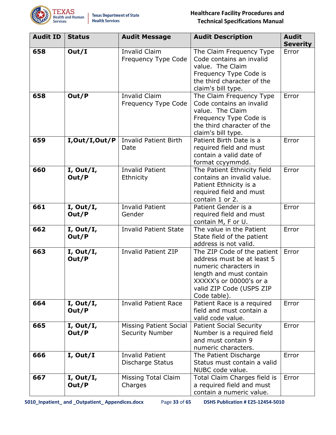

| <b>Audit ID</b> | <b>Status</b>      | <b>Audit Message</b>                                    | <b>Audit Description</b>                                                                                                                                                             | <b>Audit</b><br><b>Severity</b> |
|-----------------|--------------------|---------------------------------------------------------|--------------------------------------------------------------------------------------------------------------------------------------------------------------------------------------|---------------------------------|
| 658             | Out/I              | <b>Invalid Claim</b><br>Frequency Type Code             | The Claim Frequency Type<br>Code contains an invalid<br>value. The Claim<br>Frequency Type Code is<br>the third character of the<br>claim's bill type.                               | Error                           |
| 658             | Out/P              | <b>Invalid Claim</b><br>Frequency Type Code             | The Claim Frequency Type<br>Code contains an invalid<br>value. The Claim<br>Frequency Type Code is<br>the third character of the<br>claim's bill type.                               | Error                           |
| 659             | I,Out/I,Out/P      | <b>Invalid Patient Birth</b><br>Date                    | Patient Birth Date is a<br>required field and must<br>contain a valid date of<br>format ccyymmdd.                                                                                    | Error                           |
| 660             | I, Out/I,<br>Out/P | <b>Invalid Patient</b><br>Ethnicity                     | The Patient Ethnicity field<br>contains an invalid value.<br>Patient Ethnicity is a<br>required field and must<br>contain 1 or 2.                                                    | Error                           |
| 661             | I, Out/I,<br>Out/P | <b>Invalid Patient</b><br>Gender                        | Patient Gender is a<br>required field and must<br>contain M, F or U.                                                                                                                 | Error                           |
| 662             | I, Out/I,<br>Out/P | <b>Invalid Patient State</b>                            | The value in the Patient<br>State field of the patient<br>address is not valid.                                                                                                      | Error                           |
| 663             | I, Out/I,<br>Out/P | <b>Invalid Patient ZIP</b>                              | The ZIP Code of the patient<br>address must be at least 5<br>numeric characters in<br>length and must contain<br>XXXXX's or 00000's or a<br>valid ZIP Code (USPS ZIP<br>Code table). | Error                           |
| 664             | I, Out/I,<br>Out/P | <b>Invalid Patient Race</b>                             | Patient Race is a required<br>field and must contain a<br>valid code value.                                                                                                          | Error                           |
| 665             | I, Out/I,<br>Out/P | <b>Missing Patient Social</b><br><b>Security Number</b> | <b>Patient Social Security</b><br>Number is a required field<br>and must contain 9<br>numeric characters.                                                                            | Error                           |
| 666             | I, Out/I           | <b>Invalid Patient</b><br>Discharge Status              | The Patient Discharge<br>Status must contain a valid<br>NUBC code value.                                                                                                             | Error                           |
| 667             | I, Out/I,<br>Out/P | <b>Missing Total Claim</b><br>Charges                   | Total Claim Charges field is<br>a required field and must<br>contain a numeric value.                                                                                                | Error                           |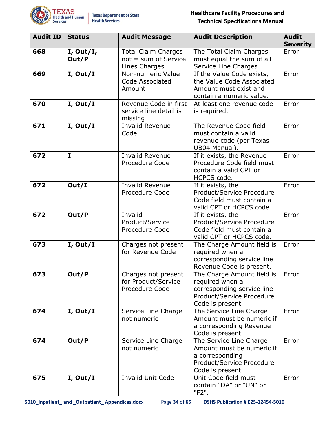

| <b>Audit ID</b> | <b>Status</b>      | <b>Audit Message</b>                                                  | <b>Audit Description</b>                                                                                                     | <b>Audit</b><br><b>Severity</b> |
|-----------------|--------------------|-----------------------------------------------------------------------|------------------------------------------------------------------------------------------------------------------------------|---------------------------------|
| 668             | I, Out/I,<br>Out/P | <b>Total Claim Charges</b><br>$not = sum of Service$<br>Lines Charges | The Total Claim Charges<br>must equal the sum of all<br>Service Line Charges.                                                | Error                           |
| 669             | I, Out/I           | Non-numeric Value<br>Code Associated<br>Amount                        | If the Value Code exists,<br>the Value Code Associated<br>Amount must exist and<br>contain a numeric value.                  | Error                           |
| 670             | I, Out/I           | Revenue Code in first<br>service line detail is<br>missing            | At least one revenue code<br>is required.                                                                                    | Error                           |
| 671             | I, Out/I           | <b>Invalid Revenue</b><br>Code                                        | The Revenue Code field<br>must contain a valid<br>revenue code (per Texas<br>UB04 Manual).                                   | Error                           |
| 672             | I                  | <b>Invalid Revenue</b><br>Procedure Code                              | If it exists, the Revenue<br>Procedure Code field must<br>contain a valid CPT or<br>HCPCS code.                              | Error                           |
| 672             | Out/I              | <b>Invalid Revenue</b><br>Procedure Code                              | If it exists, the<br>Product/Service Procedure<br>Code field must contain a<br>valid CPT or HCPCS code.                      | Error                           |
| 672             | Out/P              | Invalid<br>Product/Service<br>Procedure Code                          | If it exists, the<br>Product/Service Procedure<br>Code field must contain a<br>valid CPT or HCPCS code.                      | Error                           |
| 673             | I, Out/I           | Charges not present<br>for Revenue Code                               | The Charge Amount field is<br>required when a<br>corresponding service line<br>Revenue Code is present.                      | Error                           |
| 673             | Out/P              | Charges not present<br>for Product/Service<br>Procedure Code          | The Charge Amount field is<br>required when a<br>corresponding service line<br>Product/Service Procedure<br>Code is present. | Error                           |
| 674             | I, Out/I           | Service Line Charge<br>not numeric                                    | The Service Line Charge<br>Amount must be numeric if<br>a corresponding Revenue<br>Code is present.                          | Error                           |
| 674             | Out/P              | Service Line Charge<br>not numeric                                    | The Service Line Charge<br>Amount must be numeric if<br>a corresponding<br>Product/Service Procedure<br>Code is present.     | Error                           |
| 675             | I, Out/I           | <b>Invalid Unit Code</b>                                              | Unit Code field must<br>contain "DA" or "UN" or<br>"F2".                                                                     | Error                           |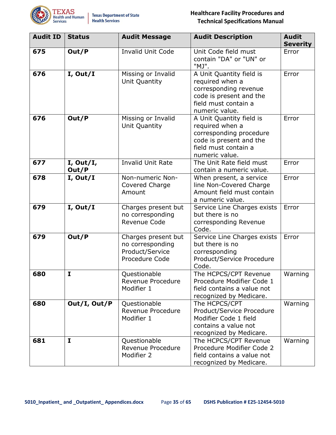

| <b>Audit ID</b> | <b>Status</b>      | <b>Audit Message</b>                                                         | <b>Audit Description</b>                                                                                                                    | <b>Audit</b><br><b>Severity</b> |
|-----------------|--------------------|------------------------------------------------------------------------------|---------------------------------------------------------------------------------------------------------------------------------------------|---------------------------------|
| 675             | Out/P              | <b>Invalid Unit Code</b>                                                     | Unit Code field must<br>contain "DA" or "UN" or<br>"MJ".                                                                                    | Error                           |
| 676             | I, Out/I           | Missing or Invalid<br>Unit Quantity                                          | A Unit Quantity field is<br>required when a<br>corresponding revenue<br>code is present and the<br>field must contain a<br>numeric value.   | Error                           |
| 676             | Out/P              | Missing or Invalid<br>Unit Quantity                                          | A Unit Quantity field is<br>required when a<br>corresponding procedure<br>code is present and the<br>field must contain a<br>numeric value. | Error                           |
| 677             | I, Out/I,<br>Out/P | <b>Invalid Unit Rate</b>                                                     | The Unit Rate field must<br>contain a numeric value.                                                                                        | Error                           |
| 678             | I, Out/I           | Non-numeric Non-<br>Covered Charge<br>Amount                                 | When present, a service<br>line Non-Covered Charge<br>Amount field must contain<br>a numeric value.                                         | Error                           |
| 679             | I, Out/I           | Charges present but<br>no corresponding<br>Revenue Code                      | Service Line Charges exists<br>but there is no<br>corresponding Revenue<br>Code.                                                            | Error                           |
| 679             | Out/P              | Charges present but<br>no corresponding<br>Product/Service<br>Procedure Code | Service Line Charges exists<br>but there is no<br>corresponding<br>Product/Service Procedure<br>Code.                                       | Error                           |
| 680             | I                  | Questionable<br>Revenue Procedure<br>Modifier 1                              | The HCPCS/CPT Revenue<br>Procedure Modifier Code 1<br>field contains a value not<br>recognized by Medicare.                                 | Warning                         |
| 680             | Out/I, Out/P       | Questionable<br>Revenue Procedure<br>Modifier 1                              | The HCPCS/CPT<br>Product/Service Procedure<br>Modifier Code 1 field<br>contains a value not<br>recognized by Medicare.                      | Warning                         |
| 681             | I.                 | Questionable<br>Revenue Procedure<br>Modifier 2                              | The HCPCS/CPT Revenue<br>Procedure Modifier Code 2<br>field contains a value not<br>recognized by Medicare.                                 | Warning                         |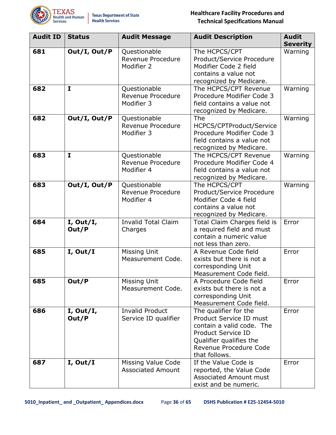

| <b>Audit ID</b> | <b>Status</b>      | <b>Audit Message</b>                            | <b>Audit Description</b>                                                                                                                                                         | <b>Audit</b><br><b>Severity</b> |
|-----------------|--------------------|-------------------------------------------------|----------------------------------------------------------------------------------------------------------------------------------------------------------------------------------|---------------------------------|
| 681             | Out/I, Out/P       | Questionable<br>Revenue Procedure<br>Modifier 2 | The HCPCS/CPT<br>Product/Service Procedure<br>Modifier Code 2 field<br>contains a value not<br>recognized by Medicare.                                                           | Warning                         |
| 682             | $\mathbf{I}$       | Questionable<br>Revenue Procedure<br>Modifier 3 | The HCPCS/CPT Revenue<br>Procedure Modifier Code 3<br>field contains a value not<br>recognized by Medicare.                                                                      | Warning                         |
| 682             | Out/I, Out/P       | Questionable<br>Revenue Procedure<br>Modifier 3 | The<br>HCPCS/CPTProduct/Service<br>Procedure Modifier Code 3<br>field contains a value not<br>recognized by Medicare.                                                            | Warning                         |
| 683             | $\mathbf{I}$       | Questionable<br>Revenue Procedure<br>Modifier 4 | The HCPCS/CPT Revenue<br>Procedure Modifier Code 4<br>field contains a value not<br>recognized by Medicare.                                                                      | Warning                         |
| 683             | Out/I, Out/P       | Questionable<br>Revenue Procedure<br>Modifier 4 | The HCPCS/CPT<br>Product/Service Procedure<br>Modifier Code 4 field<br>contains a value not<br>recognized by Medicare.                                                           | Warning                         |
| 684             | I, Out/I,<br>Out/P | <b>Invalid Total Claim</b><br>Charges           | Total Claim Charges field is<br>a required field and must<br>contain a numeric value<br>not less than zero.                                                                      | Error                           |
| 685             | I, Out/I           | <b>Missing Unit</b><br>Measurement Code.        | A Revenue Code field<br>exists but there is not a<br>corresponding Unit<br>Measurement Code field.                                                                               | Error                           |
| 685             | Out/P              | Missing Unit<br>Measurement Code.               | A Procedure Code field<br>exists but there is not a<br>corresponding Unit<br>Measurement Code field.                                                                             | Error                           |
| 686             | I, Out/I,<br>Out/P | <b>Invalid Product</b><br>Service ID qualifier  | The qualifier for the<br>Product Service ID must<br>contain a valid code. The<br><b>Product Service ID</b><br>Qualifier qualifies the<br>Revenue Procedure Code<br>that follows. | Error                           |
| 687             | I, Out/I           | Missing Value Code<br><b>Associated Amount</b>  | If the Value Code is<br>reported, the Value Code<br><b>Associated Amount must</b><br>exist and be numeric.                                                                       | Error                           |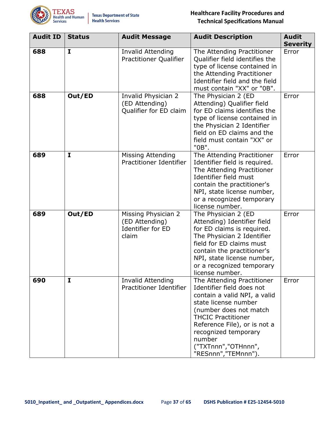

| <b>Audit ID</b> | <b>Status</b> | <b>Audit Message</b>                                                       | <b>Audit Description</b>                                                                                                                                                                                                                                                                | <b>Audit</b><br><b>Severity</b> |
|-----------------|---------------|----------------------------------------------------------------------------|-----------------------------------------------------------------------------------------------------------------------------------------------------------------------------------------------------------------------------------------------------------------------------------------|---------------------------------|
| 688             | $\mathbf I$   | <b>Invalid Attending</b><br><b>Practitioner Qualifier</b>                  | The Attending Practitioner<br>Qualifier field identifies the<br>type of license contained in<br>the Attending Practitioner<br>Identifier field and the field<br>must contain "XX" or "0B".                                                                                              | Error                           |
| 688             | Out/ED        | Invalid Physician 2<br>(ED Attending)<br>Qualifier for ED claim            | The Physician 2 (ED<br>Attending) Qualifier field<br>for ED claims identifies the<br>type of license contained in<br>the Physician 2 Identifier<br>field on ED claims and the<br>field must contain "XX" or<br>"0B".                                                                    | Error                           |
| 689             | I             | Missing Attending<br>Practitioner Identifier                               | The Attending Practitioner<br>Identifier field is required.<br>The Attending Practitioner<br>Identifier field must<br>contain the practitioner's<br>NPI, state license number,<br>or a recognized temporary<br>license number.                                                          | Error                           |
| 689             | Out/ED        | Missing Physician 2<br>(ED Attending)<br><b>Identifier for ED</b><br>claim | The Physician 2 (ED<br>Attending) Identifier field<br>for ED claims is required.<br>The Physician 2 Identifier<br>field for ED claims must<br>contain the practitioner's<br>NPI, state license number,<br>or a recognized temporary<br>license number.                                  | Error                           |
| 690             | I             | <b>Invalid Attending</b><br>Practitioner Identifier                        | The Attending Practitioner<br>Identifier field does not<br>contain a valid NPI, a valid<br>state license number<br>(number does not match<br><b>THCIC Practitioner</b><br>Reference File), or is not a<br>recognized temporary<br>number<br>("TXTnnn","OTHnnn",<br>"RESnnn", "TEMnnn"). | Error                           |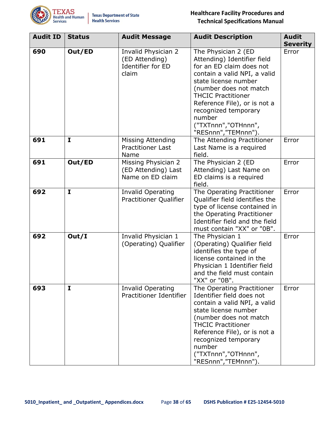

| <b>Audit ID</b> | <b>Status</b> | <b>Audit Message</b>                                                       | <b>Audit Description</b>                                                                                                                                                                                                                                                                                      | <b>Audit</b><br><b>Severity</b> |
|-----------------|---------------|----------------------------------------------------------------------------|---------------------------------------------------------------------------------------------------------------------------------------------------------------------------------------------------------------------------------------------------------------------------------------------------------------|---------------------------------|
| 690             | Out/ED        | Invalid Physician 2<br>(ED Attending)<br><b>Identifier for ED</b><br>claim | The Physician 2 (ED<br>Attending) Identifier field<br>for an ED claim does not<br>contain a valid NPI, a valid<br>state license number<br>(number does not match<br><b>THCIC Practitioner</b><br>Reference File), or is not a<br>recognized temporary<br>number<br>("TXTnnn","OTHnnn",<br>"RESnnn","TEMnnn"). | Error                           |
| 691             | $\mathbf{I}$  | Missing Attending<br><b>Practitioner Last</b><br>Name                      | The Attending Practitioner<br>Last Name is a required<br>field.                                                                                                                                                                                                                                               | Error                           |
| 691             | Out/ED        | Missing Physician 2<br>(ED Attending) Last<br>Name on ED claim             | The Physician 2 (ED<br>Attending) Last Name on<br>ED claims is a required<br>field.                                                                                                                                                                                                                           | Error                           |
| 692             | $\mathbf{I}$  | <b>Invalid Operating</b><br><b>Practitioner Qualifier</b>                  | The Operating Practitioner<br>Qualifier field identifies the<br>type of license contained in<br>the Operating Practitioner<br>Identifier field and the field<br>must contain "XX" or "0B".                                                                                                                    | Error                           |
| 692             | Out/I         | Invalid Physician 1<br>(Operating) Qualifier                               | The Physician 1<br>(Operating) Qualifier field<br>identifies the type of<br>license contained in the<br>Physician 1 Identifier field<br>and the field must contain<br>"XX" or "0B".                                                                                                                           | Error                           |
| 693             | I             | <b>Invalid Operating</b><br>Practitioner Identifier                        | The Operating Practitioner<br>Identifier field does not<br>contain a valid NPI, a valid<br>state license number<br>(number does not match<br><b>THCIC Practitioner</b><br>Reference File), or is not a<br>recognized temporary<br>number<br>("TXTnnn","OTHnnn",<br>"RESnnn","TEMnnn").                        | Error                           |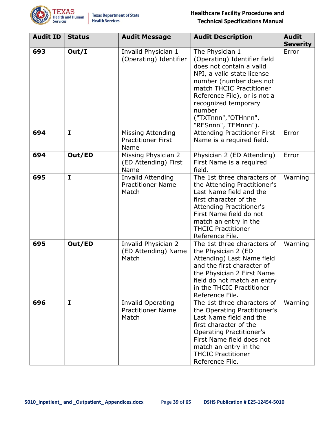

| <b>Audit ID</b> | <b>Status</b> | <b>Audit Message</b>                                          | <b>Audit Description</b>                                                                                                                                                                                                                                                          | <b>Audit</b><br><b>Severity</b> |
|-----------------|---------------|---------------------------------------------------------------|-----------------------------------------------------------------------------------------------------------------------------------------------------------------------------------------------------------------------------------------------------------------------------------|---------------------------------|
| 693             | Out/I         | Invalid Physician 1<br>(Operating) Identifier                 | The Physician 1<br>(Operating) Identifier field<br>does not contain a valid<br>NPI, a valid state license<br>number (number does not<br>match THCIC Practitioner<br>Reference File), or is not a<br>recognized temporary<br>number<br>("TXTnnn","OTHnnn",<br>"RESnnn", "TEMnnn"). | Error                           |
| 694             | $\mathbf{I}$  | <b>Missing Attending</b><br><b>Practitioner First</b><br>Name | <b>Attending Practitioner First</b><br>Name is a required field.                                                                                                                                                                                                                  | Error                           |
| 694             | Out/ED        | Missing Physician 2<br>(ED Attending) First<br>Name           | Physician 2 (ED Attending)<br>First Name is a required<br>field.                                                                                                                                                                                                                  | Error                           |
| 695             | $\mathbf{I}$  | <b>Invalid Attending</b><br><b>Practitioner Name</b><br>Match | The 1st three characters of<br>the Attending Practitioner's<br>Last Name field and the<br>first character of the<br><b>Attending Practitioner's</b><br>First Name field do not<br>match an entry in the<br><b>THCIC Practitioner</b><br>Reference File.                           | Warning                         |
| 695             | Out/ED        | Invalid Physician 2<br>(ED Attending) Name<br>Match           | The 1st three characters of<br>the Physician 2 (ED<br>Attending) Last Name field<br>and the first character of<br>the Physician 2 First Name<br>field do not match an entry<br>in the THCIC Practitioner<br>Reference File.                                                       | Warning                         |
| 696             | $\mathbf{I}$  | <b>Invalid Operating</b><br><b>Practitioner Name</b><br>Match | The 1st three characters of<br>the Operating Practitioner's<br>Last Name field and the<br>first character of the<br><b>Operating Practitioner's</b><br>First Name field does not<br>match an entry in the<br><b>THCIC Practitioner</b><br>Reference File.                         | Warning                         |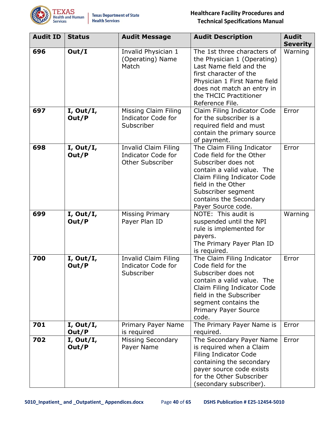

| <b>Audit ID</b> | <b>Status</b>      | <b>Audit Message</b>                                                                | <b>Audit Description</b>                                                                                                                                                                                                               | <b>Audit</b><br><b>Severity</b> |
|-----------------|--------------------|-------------------------------------------------------------------------------------|----------------------------------------------------------------------------------------------------------------------------------------------------------------------------------------------------------------------------------------|---------------------------------|
| 696             | Out/I              | Invalid Physician 1<br>(Operating) Name<br>Match                                    | The 1st three characters of<br>the Physician 1 (Operating)<br>Last Name field and the<br>first character of the<br>Physician 1 First Name field<br>does not match an entry in<br>the THCIC Practitioner<br>Reference File.             | Warning                         |
| 697             | I, Out/I,<br>Out/P | Missing Claim Filing<br><b>Indicator Code for</b><br>Subscriber                     | Claim Filing Indicator Code<br>for the subscriber is a<br>required field and must<br>contain the primary source<br>of payment.                                                                                                         | Error                           |
| 698             | I, Out/I,<br>Out/P | <b>Invalid Claim Filing</b><br><b>Indicator Code for</b><br><b>Other Subscriber</b> | The Claim Filing Indicator<br>Code field for the Other<br>Subscriber does not<br>contain a valid value. The<br>Claim Filing Indicator Code<br>field in the Other<br>Subscriber segment<br>contains the Secondary<br>Payer Source code. | Error                           |
| 699             | I, Out/I,<br>Out/P | <b>Missing Primary</b><br>Payer Plan ID                                             | NOTE: This audit is<br>suspended until the NPI<br>rule is implemented for<br>payers.<br>The Primary Payer Plan ID<br>is required.                                                                                                      | Warning                         |
| 700             | I, Out/I,<br>Out/P | Invalid Claim Filing<br><b>Indicator Code for</b><br>Subscriber                     | The Claim Filing Indicator<br>Code field for the<br>Subscriber does not<br>contain a valid value. The<br>Claim Filing Indicator Code<br>field in the Subscriber<br>segment contains the<br><b>Primary Payer Source</b><br>code.        | Error                           |
| 701             | I, Out/I,<br>Out/P | Primary Payer Name<br>is required                                                   | The Primary Payer Name is<br>required.                                                                                                                                                                                                 | Error                           |
| 702             | I, Out/I,<br>Out/P | <b>Missing Secondary</b><br>Payer Name                                              | The Secondary Payer Name<br>is required when a Claim<br><b>Filing Indicator Code</b><br>containing the secondary<br>payer source code exists<br>for the Other Subscriber<br>(secondary subscriber).                                    | Error                           |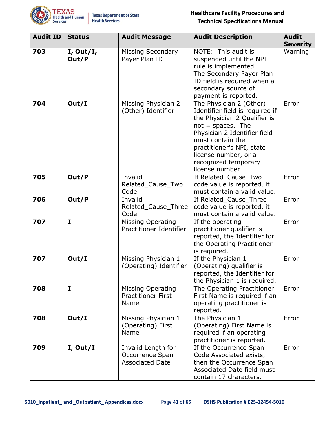

| <b>Audit ID</b> | <b>Status</b>      | <b>Audit Message</b>                                            | <b>Audit Description</b>                                                                                                                                                                                                                                              | <b>Audit</b><br><b>Severity</b> |
|-----------------|--------------------|-----------------------------------------------------------------|-----------------------------------------------------------------------------------------------------------------------------------------------------------------------------------------------------------------------------------------------------------------------|---------------------------------|
| 703             | I, Out/I,<br>Out/P | <b>Missing Secondary</b><br>Payer Plan ID                       | NOTE: This audit is<br>suspended until the NPI<br>rule is implemented.<br>The Secondary Payer Plan<br>ID field is required when a<br>secondary source of<br>payment is reported.                                                                                      | Warning                         |
| 704             | Out/I              | Missing Physician 2<br>(Other) Identifier                       | The Physician 2 (Other)<br>Identifier field is required if<br>the Physician 2 Qualifier is<br>$not = spaces.$ The<br>Physician 2 Identifier field<br>must contain the<br>practitioner's NPI, state<br>license number, or a<br>recognized temporary<br>license number. | Error                           |
| 705             | Out/P              | Invalid<br>Related_Cause_Two<br>Code                            | If Related_Cause_Two<br>code value is reported, it<br>must contain a valid value.                                                                                                                                                                                     | Error                           |
| 706             | Out/P              | Invalid<br>Related_Cause_Three<br>Code                          | If Related_Cause_Three<br>code value is reported, it<br>must contain a valid value.                                                                                                                                                                                   | Error                           |
| 707             | $\mathbf I$        | <b>Missing Operating</b><br>Practitioner Identifier             | If the operating<br>practitioner qualifier is<br>reported, the Identifier for<br>the Operating Practitioner<br>is required.                                                                                                                                           | Error                           |
| 707             | Out/I              | Missing Physician 1<br>(Operating) Identifier                   | If the Physician 1<br>(Operating) qualifier is<br>reported, the Identifier for<br>the Physician 1 is required.                                                                                                                                                        | Error                           |
| 708             | I                  | <b>Missing Operating</b><br><b>Practitioner First</b><br>Name   | The Operating Practitioner<br>First Name is required if an<br>operating practitioner is<br>reported.                                                                                                                                                                  | Error                           |
| 708             | Out/I              | Missing Physician 1<br>(Operating) First<br>Name                | The Physician 1<br>(Operating) First Name is<br>required if an operating<br>practitioner is reported.                                                                                                                                                                 | Error                           |
| 709             | I, Out/I           | Invalid Length for<br>Occurrence Span<br><b>Associated Date</b> | If the Occurrence Span<br>Code Associated exists,<br>then the Occurrence Span<br>Associated Date field must<br>contain 17 characters.                                                                                                                                 | Error                           |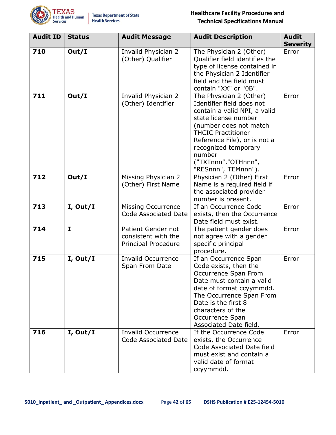

| <b>Audit ID</b> | <b>Status</b> | <b>Audit Message</b>                                             | <b>Audit Description</b>                                                                                                                                                                                                                                                            | <b>Audit</b><br><b>Severity</b> |
|-----------------|---------------|------------------------------------------------------------------|-------------------------------------------------------------------------------------------------------------------------------------------------------------------------------------------------------------------------------------------------------------------------------------|---------------------------------|
| 710             | Out/I         | Invalid Physician 2<br>(Other) Qualifier                         | The Physician 2 (Other)<br>Qualifier field identifies the<br>type of license contained in<br>the Physician 2 Identifier<br>field and the field must<br>contain "XX" or "0B".                                                                                                        | Error                           |
| 711             | Out/I         | Invalid Physician 2<br>(Other) Identifier                        | The Physician 2 (Other)<br>Identifier field does not<br>contain a valid NPI, a valid<br>state license number<br>(number does not match<br><b>THCIC Practitioner</b><br>Reference File), or is not a<br>recognized temporary<br>number<br>("TXTnnn","OTHnnn",<br>"RESnnn","TEMnnn"). | Error                           |
| 712             | Out/I         | Missing Physician 2<br>(Other) First Name                        | Physician 2 (Other) First<br>Name is a required field if<br>the associated provider<br>number is present.                                                                                                                                                                           | Error                           |
| 713             | I, Out/I      | <b>Missing Occurrence</b><br><b>Code Associated Date</b>         | If an Occurrence Code<br>exists, then the Occurrence<br>Date field must exist.                                                                                                                                                                                                      | Error                           |
| 714             | $\mathbf{I}$  | Patient Gender not<br>consistent with the<br>Principal Procedure | The patient gender does<br>not agree with a gender<br>specific principal<br>procedure.                                                                                                                                                                                              | Error                           |
| 715             | I, Out/I      | <b>Invalid Occurrence</b><br>Span From Date                      | If an Occurrence Span<br>Code exists, then the<br>Occurrence Span From<br>Date must contain a valid<br>date of format ccyymmdd.<br>The Occurrence Span From<br>Date is the first 8<br>characters of the<br>Occurrence Span<br>Associated Date field.                                | Error                           |
| 716             | I, Out/I      | <b>Invalid Occurrence</b><br>Code Associated Date                | If the Occurrence Code<br>exists, the Occurrence<br>Code Associated Date field<br>must exist and contain a<br>valid date of format<br>ccyymmdd.                                                                                                                                     | Error                           |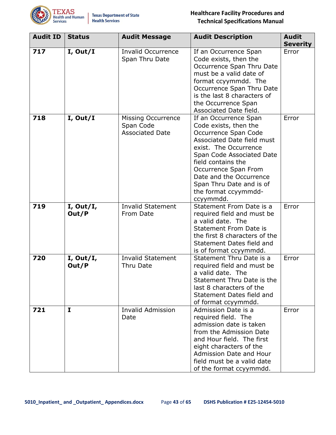

| <b>Audit ID</b> | <b>Status</b>      | <b>Audit Message</b>                                             | <b>Audit Description</b>                                                                                                                                                                                                                                                                             | <b>Audit</b><br><b>Severity</b> |
|-----------------|--------------------|------------------------------------------------------------------|------------------------------------------------------------------------------------------------------------------------------------------------------------------------------------------------------------------------------------------------------------------------------------------------------|---------------------------------|
| 717             | I, Out/I           | <b>Invalid Occurrence</b><br>Span Thru Date                      | If an Occurrence Span<br>Code exists, then the<br>Occurrence Span Thru Date<br>must be a valid date of<br>format ccyymmdd. The<br>Occurrence Span Thru Date<br>is the last 8 characters of<br>the Occurrence Span<br>Associated Date field.                                                          | Error                           |
| 718             | I, Out/I           | <b>Missing Occurrence</b><br>Span Code<br><b>Associated Date</b> | If an Occurrence Span<br>Code exists, then the<br>Occurrence Span Code<br>Associated Date field must<br>exist. The Occurrence<br>Span Code Associated Date<br>field contains the<br>Occurrence Span From<br>Date and the Occurrence<br>Span Thru Date and is of<br>the format ccyymmdd-<br>ccyymmdd. | Error                           |
| 719             | I, Out/I,<br>Out/P | <b>Invalid Statement</b><br>From Date                            | Statement From Date is a<br>required field and must be<br>a valid date. The<br><b>Statement From Date is</b><br>the first 8 characters of the<br>Statement Dates field and<br>is of format ccyymmdd.                                                                                                 | Error                           |
| 720             | I, Out/I,<br>Out/P | <b>Invalid Statement</b><br>Thru Date                            | Statement Thru Date is a<br>required field and must be<br>a valid date. The<br>Statement Thru Date is the<br>last 8 characters of the<br>Statement Dates field and<br>of format ccyymmdd.                                                                                                            | Error                           |
| 721             | $\mathbf{I}$       | <b>Invalid Admission</b><br>Date                                 | Admission Date is a<br>required field. The<br>admission date is taken<br>from the Admission Date<br>and Hour field. The first<br>eight characters of the<br>Admission Date and Hour<br>field must be a valid date<br>of the format ccyymmdd.                                                         | Error                           |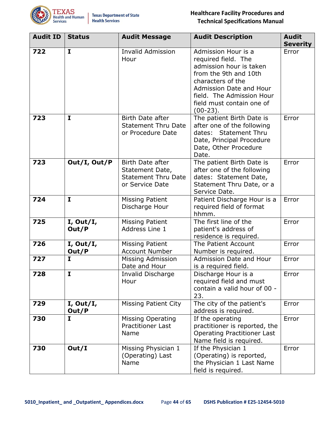

| <b>Audit ID</b> | <b>Status</b>      | <b>Audit Message</b>                                                                 | <b>Audit Description</b>                                                                                                                                                                                               | <b>Audit</b><br><b>Severity</b> |
|-----------------|--------------------|--------------------------------------------------------------------------------------|------------------------------------------------------------------------------------------------------------------------------------------------------------------------------------------------------------------------|---------------------------------|
| 722             | $\mathbf{I}$       | <b>Invalid Admission</b><br>Hour                                                     | Admission Hour is a<br>required field. The<br>admission hour is taken<br>from the 9th and 10th<br>characters of the<br>Admission Date and Hour<br>field. The Admission Hour<br>field must contain one of<br>$(00-23).$ | Error                           |
| 723             | $\mathbf{I}$       | Birth Date after<br><b>Statement Thru Date</b><br>or Procedure Date                  | The patient Birth Date is<br>after one of the following<br>dates: Statement Thru<br>Date, Principal Procedure<br>Date, Other Procedure<br>Date.                                                                        | Error                           |
| 723             | Out/I, Out/P       | Birth Date after<br>Statement Date,<br><b>Statement Thru Date</b><br>or Service Date | The patient Birth Date is<br>after one of the following<br>dates: Statement Date,<br>Statement Thru Date, or a<br>Service Date.                                                                                        | Error                           |
| 724             | $\mathbf{I}$       | <b>Missing Patient</b><br>Discharge Hour                                             | Patient Discharge Hour is a<br>required field of format<br>hhmm.                                                                                                                                                       | Error                           |
| 725             | I, Out/I,<br>Out/P | <b>Missing Patient</b><br>Address Line 1                                             | The first line of the<br>patient's address of<br>residence is required.                                                                                                                                                | Error                           |
| 726             | I, Out/I,<br>Out/P | <b>Missing Patient</b><br><b>Account Number</b>                                      | The Patient Account<br>Number is required.                                                                                                                                                                             | Error                           |
| 727             | $\mathbf{I}$       | Missing Admission<br>Date and Hour                                                   | Admission Date and Hour<br>is a required field.                                                                                                                                                                        | Error                           |
| 728             | $\mathbf{I}$       | <b>Invalid Discharge</b><br>Hour                                                     | Discharge Hour is a<br>required field and must<br>contain a valid hour of 00 -<br>23.                                                                                                                                  | Error                           |
| 729             | I, Out/I,<br>Out/P | <b>Missing Patient City</b>                                                          | The city of the patient's<br>address is required.                                                                                                                                                                      | Error                           |
| 730             | $\mathbf{I}$       | <b>Missing Operating</b><br><b>Practitioner Last</b><br>Name                         | If the operating<br>practitioner is reported, the<br><b>Operating Practitioner Last</b><br>Name field is required.                                                                                                     | Error                           |
| 730             | Out/I              | Missing Physician 1<br>(Operating) Last<br>Name                                      | If the Physician 1<br>(Operating) is reported,<br>the Physician 1 Last Name<br>field is required.                                                                                                                      | Error                           |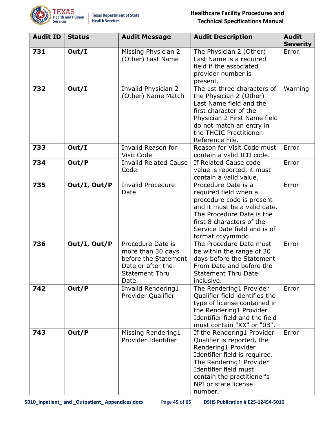

| <b>Audit ID</b> | <b>Status</b> | <b>Audit Message</b>                                                                                                  | <b>Audit Description</b>                                                                                                                                                                                                              | <b>Audit</b><br><b>Severity</b> |
|-----------------|---------------|-----------------------------------------------------------------------------------------------------------------------|---------------------------------------------------------------------------------------------------------------------------------------------------------------------------------------------------------------------------------------|---------------------------------|
| 731             | Out/I         | Missing Physician 2<br>(Other) Last Name                                                                              | The Physician 2 (Other)<br>Last Name is a required<br>field if the associated<br>provider number is<br>present.                                                                                                                       | Error                           |
| 732             | Out/I         | Invalid Physician 2<br>(Other) Name Match                                                                             | The 1st three characters of<br>the Physician 2 (Other)<br>Last Name field and the<br>first character of the<br>Physician 2 First Name field<br>do not match an entry in<br>the THCIC Practitioner<br>Reference File.                  | Warning                         |
| 733             | Out/I         | Invalid Reason for<br>Visit Code                                                                                      | Reason for Visit Code must<br>contain a valid ICD code.                                                                                                                                                                               | Error                           |
| 734             | Out/P         | <b>Invalid Related Cause</b><br>Code                                                                                  | If Related Cause code<br>value is reported, it must<br>contain a valid value.                                                                                                                                                         | Error                           |
| 735             | Out/I, Out/P  | <b>Invalid Procedure</b><br>Date                                                                                      | Procedure Date is a<br>required field when a<br>procedure code is present<br>and it must be a valid date.<br>The Procedure Date is the<br>first 8 characters of the<br>Service Date field and is of<br>format ccyymmdd.               | Error                           |
| 736             | Out/I, Out/P  | Procedure Date is<br>more than 30 days<br>before the Statement<br>Date or after the<br><b>Statement Thru</b><br>Date. | The Procedure Date must<br>be within the range of 30<br>days before the Statement<br>From Date and before the<br><b>Statement Thru Date</b><br>inclusive.                                                                             | Error                           |
| 742             | Out/P         | Invalid Rendering1<br>Provider Qualifier                                                                              | The Rendering1 Provider<br>Qualifier field identifies the<br>type of license contained in<br>the Rendering1 Provider<br>Identifier field and the field<br>must contain "XX" or "0B".                                                  | Error                           |
| 743             | Out/P         | Missing Rendering1<br>Provider Identifier                                                                             | If the Rendering1 Provider<br>Qualifier is reported, the<br>Rendering1 Provider<br>Identifier field is required.<br>The Rendering1 Provider<br>Identifier field must<br>contain the practitioner's<br>NPI or state license<br>number. | Error                           |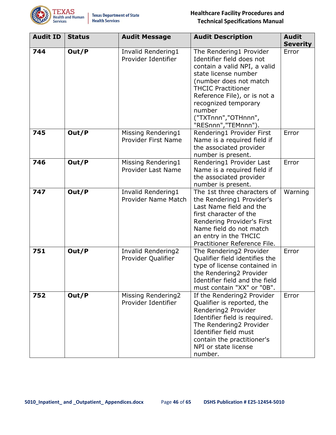

| <b>Audit ID</b> | <b>Status</b> | <b>Audit Message</b>                      | <b>Audit Description</b>                                                                                                                                                                                                                                                            | <b>Audit</b><br><b>Severity</b> |
|-----------------|---------------|-------------------------------------------|-------------------------------------------------------------------------------------------------------------------------------------------------------------------------------------------------------------------------------------------------------------------------------------|---------------------------------|
| 744             | Out/P         | Invalid Rendering1<br>Provider Identifier | The Rendering1 Provider<br>Identifier field does not<br>contain a valid NPI, a valid<br>state license number<br>(number does not match<br><b>THCIC Practitioner</b><br>Reference File), or is not a<br>recognized temporary<br>number<br>("TXTnnn","OTHnnn",<br>"RESnnn","TEMnnn"). | Error                           |
| 745             | Out/P         | Missing Rendering1<br>Provider First Name | Rendering1 Provider First<br>Name is a required field if<br>the associated provider<br>number is present.                                                                                                                                                                           | Error                           |
| 746             | Out/P         | Missing Rendering1<br>Provider Last Name  | Rendering1 Provider Last<br>Name is a required field if<br>the associated provider<br>number is present.                                                                                                                                                                            | Error                           |
| 747             | Out/P         | Invalid Rendering1<br>Provider Name Match | The 1st three characters of<br>the Rendering1 Provider's<br>Last Name field and the<br>first character of the<br>Rendering Provider's First<br>Name field do not match<br>an entry in the THCIC<br>Practitioner Reference File.                                                     | Warning                         |
| 751             | Out/P         | Invalid Rendering2<br>Provider Qualifier  | The Rendering2 Provider<br>Qualifier field identifies the<br>type of license contained in<br>the Rendering2 Provider<br>Identifier field and the field<br>must contain "XX" or "0B".                                                                                                | Error                           |
| 752             | Out/P         | Missing Rendering2<br>Provider Identifier | If the Rendering2 Provider<br>Qualifier is reported, the<br>Rendering2 Provider<br>Identifier field is required.<br>The Rendering2 Provider<br>Identifier field must<br>contain the practitioner's<br>NPI or state license<br>number.                                               | Error                           |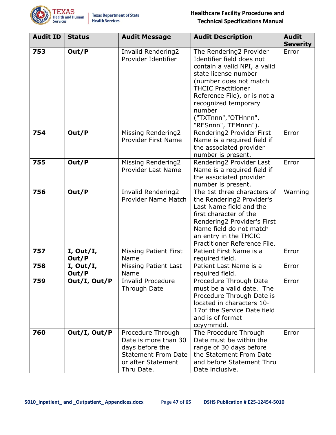

| <b>Audit ID</b> | <b>Status</b>      | <b>Audit Message</b>                                                                                                           | <b>Audit Description</b>                                                                                                                                                                                                                                                            | <b>Audit</b><br><b>Severity</b> |
|-----------------|--------------------|--------------------------------------------------------------------------------------------------------------------------------|-------------------------------------------------------------------------------------------------------------------------------------------------------------------------------------------------------------------------------------------------------------------------------------|---------------------------------|
| 753             | Out/P              | Invalid Rendering2<br>Provider Identifier                                                                                      | The Rendering2 Provider<br>Identifier field does not<br>contain a valid NPI, a valid<br>state license number<br>(number does not match<br><b>THCIC Practitioner</b><br>Reference File), or is not a<br>recognized temporary<br>number<br>("TXTnnn","OTHnnn",<br>"RESnnn","TEMnnn"). | Error                           |
| 754             | Out/P              | Missing Rendering2<br>Provider First Name                                                                                      | Rendering2 Provider First<br>Name is a required field if<br>the associated provider<br>number is present.                                                                                                                                                                           | Error                           |
| 755             | Out/P              | Missing Rendering2<br>Provider Last Name                                                                                       | Rendering2 Provider Last<br>Name is a required field if<br>the associated provider<br>number is present.                                                                                                                                                                            | Error                           |
| 756             | Out/P              | Invalid Rendering2<br>Provider Name Match                                                                                      | The 1st three characters of<br>the Rendering2 Provider's<br>Last Name field and the<br>first character of the<br>Rendering2 Provider's First<br>Name field do not match<br>an entry in the THCIC<br>Practitioner Reference File.                                                    | Warning                         |
| 757             | I, Out/I,<br>Out/P | <b>Missing Patient First</b><br>Name                                                                                           | Patient First Name is a<br>required field.                                                                                                                                                                                                                                          | Error                           |
| 758             | I, Out/I,<br>Out/P | <b>Missing Patient Last</b><br>Name                                                                                            | Patient Last Name is a<br>required field.                                                                                                                                                                                                                                           | Error                           |
| 759             | Out/I, Out/P       | <b>Invalid Procedure</b><br><b>Through Date</b>                                                                                | Procedure Through Date<br>must be a valid date. The<br>Procedure Through Date is<br>located in characters 10-<br>17of the Service Date field<br>and is of format<br>ccyymmdd.                                                                                                       | Error                           |
| 760             | Out/I, Out/P       | Procedure Through<br>Date is more than 30<br>days before the<br><b>Statement From Date</b><br>or after Statement<br>Thru Date. | The Procedure Through<br>Date must be within the<br>range of 30 days before<br>the Statement From Date<br>and before Statement Thru<br>Date inclusive.                                                                                                                              | Error                           |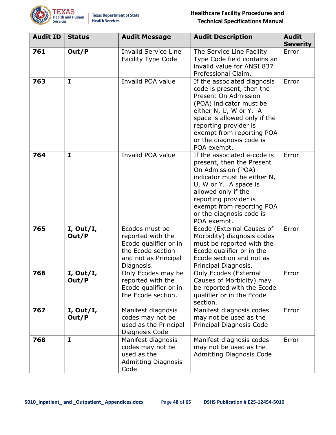

| <b>Audit ID</b> | <b>Status</b>      | <b>Audit Message</b>                                                                                                    | <b>Audit Description</b>                                                                                                                                                                                                                                               | <b>Audit</b><br><b>Severity</b> |
|-----------------|--------------------|-------------------------------------------------------------------------------------------------------------------------|------------------------------------------------------------------------------------------------------------------------------------------------------------------------------------------------------------------------------------------------------------------------|---------------------------------|
| 761             | Out/P              | <b>Invalid Service Line</b><br><b>Facility Type Code</b>                                                                | The Service Line Facility<br>Type Code field contains an<br>invalid value for ANSI 837<br>Professional Claim.                                                                                                                                                          | Error                           |
| 763             | $\mathbf{I}$       | Invalid POA value                                                                                                       | If the associated diagnosis<br>code is present, then the<br>Present On Admission<br>(POA) indicator must be<br>either N, U, W or Y. A<br>space is allowed only if the<br>reporting provider is<br>exempt from reporting POA<br>or the diagnosis code is<br>POA exempt. | Error                           |
| 764             | $\mathbf{I}$       | Invalid POA value                                                                                                       | If the associated e-code is<br>present, then the Present<br>On Admission (POA)<br>indicator must be either N,<br>U, W or Y. A space is<br>allowed only if the<br>reporting provider is<br>exempt from reporting POA<br>or the diagnosis code is<br>POA exempt.         | Error                           |
| 765             | I, Out/I,<br>Out/P | Ecodes must be<br>reported with the<br>Ecode qualifier or in<br>the Ecode section<br>and not as Principal<br>Diagnosis. | Ecode (External Causes of<br>Morbidity) diagnosis codes<br>must be reported with the<br>Ecode qualifier or in the<br>Ecode section and not as<br>Principal Diagnosis.                                                                                                  | Error                           |
| 766             | I, Out/I,<br>Out/P | Only Ecodes may be<br>reported with the<br>Ecode qualifier or in<br>the Ecode section.                                  | <b>Only Ecodes (External</b><br>Causes of Morbidity) may<br>be reported with the Ecode<br>qualifier or in the Ecode<br>section.                                                                                                                                        | Error                           |
| 767             | I, Out/I,<br>Out/P | Manifest diagnosis<br>codes may not be<br>used as the Principal<br>Diagnosis Code                                       | Manifest diagnosis codes<br>may not be used as the<br>Principal Diagnosis Code                                                                                                                                                                                         | Error                           |
| 768             | $\mathbf{I}$       | Manifest diagnosis<br>codes may not be<br>used as the<br><b>Admitting Diagnosis</b><br>Code                             | Manifest diagnosis codes<br>may not be used as the<br><b>Admitting Diagnosis Code</b>                                                                                                                                                                                  | Error                           |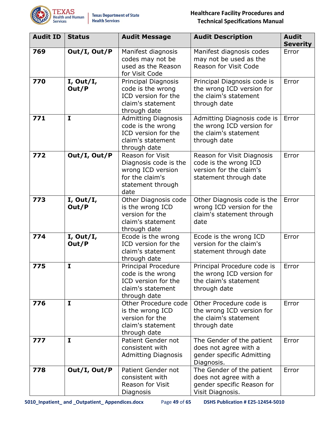

| <b>Audit ID</b> | <b>Status</b>      | <b>Audit Message</b>                                                                                           | <b>Audit Description</b>                                                                                 | <b>Audit</b><br><b>Severity</b> |
|-----------------|--------------------|----------------------------------------------------------------------------------------------------------------|----------------------------------------------------------------------------------------------------------|---------------------------------|
| 769             | Out/I, Out/P       | Manifest diagnosis<br>codes may not be<br>used as the Reason<br>for Visit Code                                 | Manifest diagnosis codes<br>may not be used as the<br>Reason for Visit Code                              | Error                           |
| 770             | I, Out/I,<br>Out/P | Principal Diagnosis<br>code is the wrong<br>ICD version for the<br>claim's statement<br>through date           | Principal Diagnosis code is<br>the wrong ICD version for<br>the claim's statement<br>through date        | Error                           |
| 771             | $\mathbf{I}$       | <b>Admitting Diagnosis</b><br>code is the wrong<br>ICD version for the<br>claim's statement<br>through date    | Admitting Diagnosis code is<br>the wrong ICD version for<br>the claim's statement<br>through date        | Error                           |
| 772             | Out/I, Out/P       | Reason for Visit<br>Diagnosis code is the<br>wrong ICD version<br>for the claim's<br>statement through<br>date | Reason for Visit Diagnosis<br>code is the wrong ICD<br>version for the claim's<br>statement through date | Error                           |
| 773             | I, Out/I,<br>Out/P | Other Diagnosis code<br>is the wrong ICD<br>version for the<br>claim's statement<br>through date               | Other Diagnosis code is the<br>wrong ICD version for the<br>claim's statement through<br>date            | Error                           |
| 774             | I, Out/I,<br>Out/P | Ecode is the wrong<br>ICD version for the<br>claim's statement<br>through date                                 | Ecode is the wrong ICD<br>version for the claim's<br>statement through date                              | Error                           |
| 775             | $\mathbf{I}$       | <b>Principal Procedure</b><br>code is the wrong<br>ICD version for the<br>claim's statement<br>through date    | Principal Procedure code is<br>the wrong ICD version for<br>the claim's statement<br>through date        | Error                           |
| 776             | $\mathbf{I}$       | Other Procedure code<br>is the wrong ICD<br>version for the<br>claim's statement<br>through date               | Other Procedure code is<br>the wrong ICD version for<br>the claim's statement<br>through date            | Error                           |
| 777             | $\mathbf{I}$       | Patient Gender not<br>consistent with<br><b>Admitting Diagnosis</b>                                            | The Gender of the patient<br>does not agree with a<br>gender specific Admitting<br>Diagnosis.            | Error                           |
| 778             | Out/I, Out/P       | Patient Gender not<br>consistent with<br>Reason for Visit<br>Diagnosis                                         | The Gender of the patient<br>does not agree with a<br>gender specific Reason for<br>Visit Diagnosis.     | Error                           |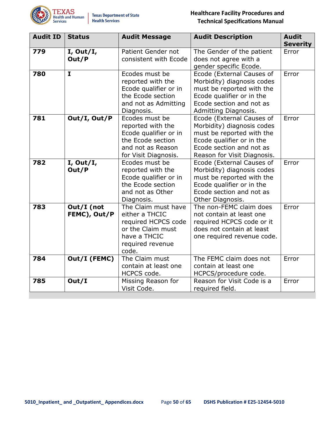

| <b>Audit ID</b> | <b>Status</b>              | <b>Audit Message</b>                                                                                                           | <b>Audit Description</b>                                                                                                                                                     | <b>Audit</b><br><b>Severity</b> |
|-----------------|----------------------------|--------------------------------------------------------------------------------------------------------------------------------|------------------------------------------------------------------------------------------------------------------------------------------------------------------------------|---------------------------------|
| 779             | I, Out/I,<br>Out/P         | Patient Gender not<br>consistent with Ecode                                                                                    | The Gender of the patient<br>does not agree with a<br>gender specific Ecode.                                                                                                 | Error                           |
| 780             | $\mathbf{I}$               | Ecodes must be<br>reported with the<br>Ecode qualifier or in<br>the Ecode section<br>and not as Admitting<br>Diagnosis.        | Ecode (External Causes of<br>Morbidity) diagnosis codes<br>must be reported with the<br>Ecode qualifier or in the<br>Ecode section and not as<br>Admitting Diagnosis.        | Error                           |
| 781             | Out/I, Out/P               | Ecodes must be<br>reported with the<br>Ecode qualifier or in<br>the Ecode section<br>and not as Reason<br>for Visit Diagnosis. | Ecode (External Causes of<br>Morbidity) diagnosis codes<br>must be reported with the<br>Ecode qualifier or in the<br>Ecode section and not as<br>Reason for Visit Diagnosis. | Error                           |
| 782             | I, Out/I,<br>Out/P         | Ecodes must be<br>reported with the<br>Ecode qualifier or in<br>the Ecode section<br>and not as Other<br>Diagnosis.            | Ecode (External Causes of<br>Morbidity) diagnosis codes<br>must be reported with the<br>Ecode qualifier or in the<br>Ecode section and not as<br>Other Diagnosis.            | Error                           |
| 783             | Out/I (not<br>FEMC), Out/P | The Claim must have<br>either a THCIC<br>required HCPCS code<br>or the Claim must<br>have a THCIC<br>required revenue<br>code. | The non-FEMC claim does<br>not contain at least one<br>required HCPCS code or it<br>does not contain at least<br>one required revenue code.                                  | Error                           |
| 784             | Out/I (FEMC)               | The Claim must<br>contain at least one<br>HCPCS code.                                                                          | The FEMC claim does not<br>contain at least one<br>HCPCS/procedure code.                                                                                                     | Error                           |
| 785             | Out/I                      | Missing Reason for<br>Visit Code.                                                                                              | Reason for Visit Code is a<br>required field.                                                                                                                                | Error                           |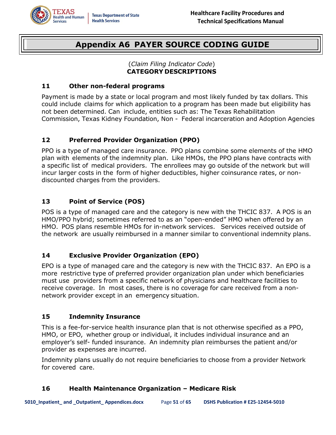<span id="page-50-0"></span>

# **Appendix A6 PAYER SOURCE CODING GUIDE**

#### (*Claim Filing Indicator Code*) **CATEGORY DESCRIPTIONS**

#### **11 Other non-federal programs**

Payment is made by a state or local program and most likely funded by tax dollars. This could include claims for which application to a program has been made but eligibility has not been determined. Can include, entities such as: The Texas Rehabilitation Commission, Texas Kidney Foundation, Non - Federal incarceration and Adoption Agencies

#### **12 Preferred Provider Organization (PPO)**

PPO is a type of managed care insurance. PPO plans combine some elements of the HMO plan with elements of the indemnity plan. Like HMOs, the PPO plans have contracts with a specific list of medical providers. The enrollees may go outside of the network but will incur larger costs in the form of higher deductibles, higher coinsurance rates, or nondiscounted charges from the providers.

#### **13 Point of Service (POS)**

POS is a type of managed care and the category is new with the THCIC 837. A POS is an HMO/PPO hybrid; sometimes referred to as an "open-ended" HMO when offered by an HMO. POS plans resemble HMOs for in-network services. Services received outside of the network are usually reimbursed in a manner similar to conventional indemnity plans.

#### **14 Exclusive Provider Organization (EPO)**

EPO is a type of managed care and the category is new with the THCIC 837. An EPO is a more restrictive type of preferred provider organization plan under which beneficiaries must use providers from a specific network of physicians and healthcare facilities to receive coverage. In most cases, there is no coverage for care received from a nonnetwork provider except in an emergency situation.

#### **15 Indemnity Insurance**

This is a fee-for-service health insurance plan that is not otherwise specified as a PPO, HMO, or EPO, whether group or individual, it includes individual insurance and an employer's self- funded insurance. An indemnity plan reimburses the patient and/or provider as expenses are incurred.

Indemnity plans usually do not require beneficiaries to choose from a provider Network for covered care.

#### **16 Health Maintenance Organization – Medicare Risk**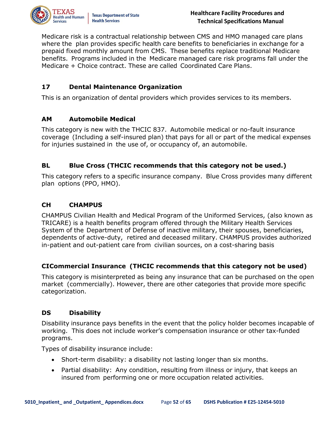

Medicare risk is a contractual relationship between CMS and HMO managed care plans where the plan provides specific health care benefits to beneficiaries in exchange for a prepaid fixed monthly amount from CMS. These benefits replace traditional Medicare benefits. Programs included in the Medicare managed care risk programs fall under the Medicare + Choice contract. These are called Coordinated Care Plans.

#### **17 Dental Maintenance Organization**

This is an organization of dental providers which provides services to its members.

#### **AM Automobile Medical**

This category is new with the THCIC 837. Automobile medical or no-fault insurance coverage (Including a self-insured plan) that pays for all or part of the medical expenses for injuries sustained in the use of, or occupancy of, an automobile.

#### **BL Blue Cross (THCIC recommends that this category not be used.)**

This category refers to a specific insurance company. Blue Cross provides many different plan options (PPO, HMO).

#### **CH CHAMPUS**

CHAMPUS Civilian Health and Medical Program of the Uniformed Services, (also known as TRICARE) is a health benefits program offered through the Military Health Services System of the Department of Defense of inactive military, their spouses, beneficiaries, dependents of active-duty, retired and deceased military. CHAMPUS provides authorized in-patient and out-patient care from civilian sources, on a cost-sharing basis

#### **CICommercial Insurance (THCIC recommends that this category not be used)**

This category is misinterpreted as being any insurance that can be purchased on the open market (commercially). However, there are other categories that provide more specific categorization.

#### **DS Disability**

Disability insurance pays benefits in the event that the policy holder becomes incapable of working. This does not include worker's compensation insurance or other tax-funded programs.

Types of disability insurance include:

- Short-term disability: a disability not lasting longer than six months.
- Partial disability: Any condition, resulting from illness or injury, that keeps an insured from performing one or more occupation related activities.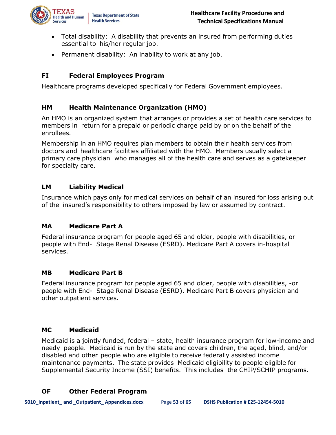

- Total disability: A disability that prevents an insured from performing duties essential to his/her regular job.
- Permanent disability: An inability to work at any job.

#### **FI Federal Employees Program**

Healthcare programs developed specifically for Federal Government employees.

#### **HM Health Maintenance Organization (HMO)**

An HMO is an organized system that arranges or provides a set of health care services to members in return for a prepaid or periodic charge paid by or on the behalf of the enrollees.

Membership in an HMO requires plan members to obtain their health services from doctors and healthcare facilities affiliated with the HMO. Members usually select a primary care physician who manages all of the health care and serves as a gatekeeper for specialty care.

#### **LM Liability Medical**

Insurance which pays only for medical services on behalf of an insured for loss arising out of the insured's responsibility to others imposed by law or assumed by contract.

#### **MA Medicare Part A**

Federal insurance program for people aged 65 and older, people with disabilities, or people with End- Stage Renal Disease (ESRD). Medicare Part A covers in-hospital services.

#### **MB Medicare Part B**

Federal insurance program for people aged 65 and older, people with disabilities, -or people with End- Stage Renal Disease (ESRD). Medicare Part B covers physician and other outpatient services.

#### **MC Medicaid**

Medicaid is a jointly funded, federal – state, health insurance program for low-income and needy people. Medicaid is run by the state and covers children, the aged, blind, and/or disabled and other people who are eligible to receive federally assisted income maintenance payments. The state provides Medicaid eligibility to people eligible for Supplemental Security Income (SSI) benefits. This includes the CHIP/SCHIP programs.

#### **OF Other Federal Program**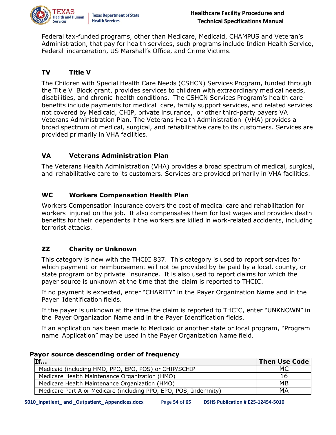

Federal tax-funded programs, other than Medicare, Medicaid, CHAMPUS and Veteran's Administration, that pay for health services, such programs include Indian Health Service, Federal incarceration, US Marshall's Office, and Crime Victims.

#### **TV Title V**

The Children with Special Health Care Needs (CSHCN) Services Program, funded through the Title V Block grant, provides services to children with extraordinary medical needs, disabilities, and chronic health conditions. The CSHCN Services Program's health care benefits include payments for medical care, family support services, and related services not covered by Medicaid, CHIP, private insurance, or other third-party payers VA Veterans Administration Plan. The Veterans Health Administration (VHA) provides a broad spectrum of medical, surgical, and rehabilitative care to its customers. Services are provided primarily in VHA facilities.

#### **VA Veterans Administration Plan**

The Veterans Health Administration (VHA) provides a broad spectrum of medical, surgical, and rehabilitative care to its customers. Services are provided primarily in VHA facilities.

#### **WC Workers Compensation Health Plan**

Workers Compensation insurance covers the cost of medical care and rehabilitation for workers injured on the job. It also compensates them for lost wages and provides death benefits for their dependents if the workers are killed in work-related accidents, including terrorist attacks.

#### **ZZ Charity or Unknown**

This category is new with the THCIC 837. This category is used to report services for which payment or reimbursement will not be provided by be paid by a local, county, or state program or by private insurance. It is also used to report claims for which the payer source is unknown at the time that the claim is reported to THCIC.

If no payment is expected, enter "CHARITY" in the Payer Organization Name and in the Payer Identification fields.

If the payer is unknown at the time the claim is reported to THCIC, enter "UNKNOWN" in the Payer Organization Name and in the Payer Identification fields.

If an application has been made to Medicaid or another state or local program, "Program name Application" may be used in the Payer Organization Name field.

| .                                                                | <b>Then Use Code</b> |
|------------------------------------------------------------------|----------------------|
| Medicaid (including HMO, PPO, EPO, POS) or CHIP/SCHIP            | МC                   |
| Medicare Health Maintenance Organization (HMO)                   | 16                   |
| Medicare Health Maintenance Organization (HMO)                   | MB                   |
| Medicare Part A or Medicare (including PPO, EPO, POS, Indemnity) | MA                   |

#### **Payor source descending order of frequency**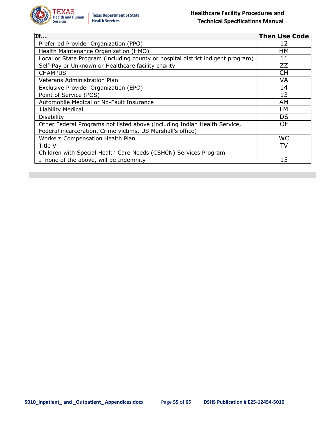

| $\overline{\mathbf{If}}$                                                        | <b>Then Use Code</b> |
|---------------------------------------------------------------------------------|----------------------|
| Preferred Provider Organization (PPO)                                           | 12                   |
| Health Maintenance Organization (HMO)                                           | HМ                   |
| Local or State Program (including county or hospital district indigent program) | 11                   |
| Self-Pay or Unknown or Healthcare facility charity                              | <b>ZZ</b>            |
| <b>CHAMPUS</b>                                                                  | <b>CH</b>            |
| Veterans Administration Plan                                                    | VA                   |
| Exclusive Provider Organization (EPO)                                           | 14                   |
| Point of Service (POS)                                                          | 13                   |
| Automobile Medical or No-Fault Insurance                                        | AM                   |
| <b>Liability Medical</b>                                                        | LМ                   |
| Disability                                                                      | DS                   |
| Other Federal Programs not listed above (including Indian Health Service,       | OF                   |
| Federal incarceration, Crime victims, US Marshall's office)                     |                      |
| Workers Compensation Health Plan                                                | <b>WC</b>            |
| Title V                                                                         | TV                   |
| Children with Special Health Care Needs (CSHCN) Services Program                |                      |
| If none of the above, will be Indemnity                                         | 15                   |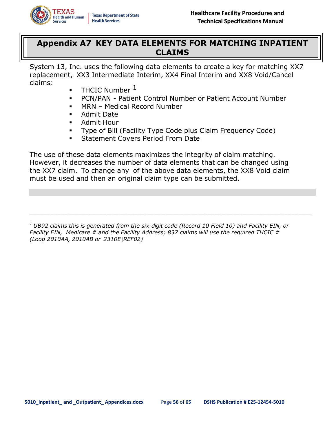

### <span id="page-55-0"></span>**Appendix A7 KEY DATA ELEMENTS FOR MATCHING INPATIENT CLAIMS**

System 13, Inc. uses the following data elements to create a key for matching XX7 replacement, XX3 Intermediate Interim, XX4 Final Interim and XX8 Void/Cancel claims:

- **•** THCIC Number  $<sup>1</sup>$ </sup>
- PCN/PAN Patient Control Number or Patient Account Number
- MRN Medical Record Number
- Admit Date
- Admit Hour
- Type of Bill (Facility Type Code plus Claim Frequency Code)
- **Statement Covers Period From Date**

The use of these data elements maximizes the integrity of claim matching. However, it decreases the number of data elements that can be changed using the XX7 claim. To change any of the above data elements, the XX8 Void claim must be used and then an original claim type can be submitted.

*<sup>1</sup> UB92 claims this is generated from the six-digit code (Record 10 Field 10) and Facility EIN, or Facility EIN, Medicare # and the Facility Address; 837 claims will use the required THCIC # (Loop 2010AA, 2010AB or 2310E|REF02)*

\_\_\_\_\_\_\_\_\_\_\_\_\_\_\_\_\_\_\_\_\_\_\_\_\_\_\_\_\_\_\_\_\_\_\_\_\_\_\_\_\_\_\_\_\_\_\_\_\_\_\_\_\_\_\_\_\_\_\_\_\_\_\_\_\_\_\_\_\_\_\_\_\_\_\_\_\_\_\_\_\_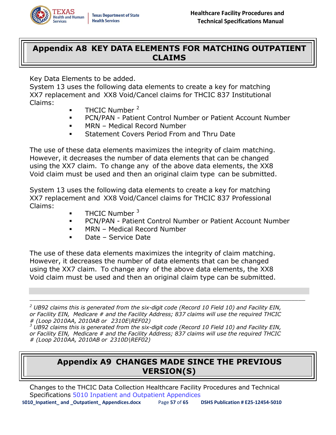

### <span id="page-56-0"></span>**Appendix A8 KEY DATA ELEMENTS FOR MATCHING OUTPATIENT CLAIMS**

Key Data Elements to be added.

System 13 uses the following data elements to create a key for matching XX7 replacement and XX8 Void/Cancel claims for THCIC 837 Institutional Claims:

- $\blacksquare$  THCIC Number  $^2$
- PCN/PAN Patient Control Number or Patient Account Number
- MRN Medical Record Number
- Statement Covers Period From and Thru Date

The use of these data elements maximizes the integrity of claim matching. However, it decreases the number of data elements that can be changed using the XX7 claim. To change any of the above data elements, the XX8 Void claim must be used and then an original claim type can be submitted.

System 13 uses the following data elements to create a key for matching XX7 replacement and XX8 Void/Cancel claims for THCIC 837 Professional Claims:

- $\blacksquare$  THCIC Number  $3$
- **PCN/PAN Patient Control Number or Patient Account Number**
- MRN Medical Record Number
- Date Service Date

The use of these data elements maximizes the integrity of claim matching. However, it decreases the number of data elements that can be changed using the XX7 claim. To change any of the above data elements, the XX8 Void claim must be used and then an original claim type can be submitted.

*<sup>2</sup> UB92 claims this is generated from the six-digit code (Record 10 Field 10) and Facility EIN, or Facility EIN, Medicare # and the Facility Address; 837 claims will use the required THCIC # (Loop 2010AA, 2010AB or 2310E|REF02)*

 $\_$  ,  $\_$  ,  $\_$  ,  $\_$  ,  $\_$  ,  $\_$  ,  $\_$  ,  $\_$  ,  $\_$  ,  $\_$  ,  $\_$  ,  $\_$  ,  $\_$  ,  $\_$  ,  $\_$  ,  $\_$  ,  $\_$  ,  $\_$  ,  $\_$  ,  $\_$  ,  $\_$  ,  $\_$  ,  $\_$  ,  $\_$  ,  $\_$  ,  $\_$  ,  $\_$  ,  $\_$  ,  $\_$  ,  $\_$  ,  $\_$  ,  $\_$  ,  $\_$  ,  $\_$  ,  $\_$  ,  $\_$  ,  $\_$  ,

<span id="page-56-1"></span>*<sup>3</sup> UB92 claims this is generated from the six-digit code (Record 10 Field 10) and Facility EIN, or Facility EIN, Medicare # and the Facility Address; 837 claims will use the required THCIC # (Loop 2010AA, 2010AB or 2310D|REF02)*

# **Appendix A9 CHANGES MADE SINCE THE PREVIOUS VERSION(S)**

**5010\_Inpatient\_ and \_Outpatient\_ Appendices.docx** Page **57** of **65 DSHS Publication # E25-12454-5010**  Changes to the THCIC Data Collection Healthcare Facility Procedures and Technical Specifications 5010 Inpatient and Outpatient Appendices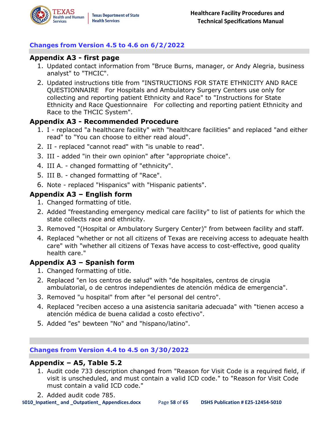#### **Changes from Version 4.5 to 4.6 on 6/2/2022**

#### **Appendix A3 - first page**

- 1. Updated contact information from "Bruce Burns, manager, or Andy Alegria, business analyst" to "THCIC".
- 2. Updated instructions title from "INSTRUCTIONS FOR STATE ETHNICITY AND RACE QUESTIONNAIRE For Hospitals and Ambulatory Surgery Centers use only for collecting and reporting patient Ethnicity and Race" to "Instructions for State Ethnicity and Race Questionnaire For collecting and reporting patient Ethnicity and Race to the THCIC System".

#### **Appendix A3 - Recommended Procedure**

- 1. I replaced "a healthcare facility" with "healthcare facilities" and replaced "and either read" to "You can choose to either read aloud".
- 2. II replaced "cannot read" with "is unable to read".
- 3. III added "in their own opinion" after "appropriate choice".
- 4. III A. changed formatting of "ethnicity".
- 5. III B. changed formatting of "Race".
- 6. Note replaced "Hispanics" with "Hispanic patients".

#### **Appendix A3 – English form**

- 1. Changed formatting of title.
- 2. Added "freestanding emergency medical care facility" to list of patients for which the state collects race and ethnicity.
- 3. Removed "(Hospital or Ambulatory Surgery Center)" from between facility and staff.
- 4. Replaced "whether or not all citizens of Texas are receiving access to adequate health care" with "whether all citizens of Texas have access to cost-effective, good quality health care."

#### **Appendix A3 – Spanish form**

- 1. Changed formatting of title.
- 2. Replaced "en los centros de salud" with "de hospitales, centros de cirugia ambulatorial, o de centros independientes de atención médica de emergencia".
- 3. Removed "u hospital" from after "el personal del centro".
- 4. Replaced "reciben acceso a una asistencia sanitaria adecuada" with "tienen acceso a atención médica de buena calidad a costo efectivo".
- 5. Added "es" bewteen "No" and "hispano/latino".

#### **Changes from Version 4.4 to 4.5 on 3/30/2022**

#### **Appendix – A5, Table 5.2**

- 1. Audit code 733 description changed from "Reason for Visit Code is a required field, if visit is unscheduled, and must contain a valid ICD code." to "Reason for Visit Code must contain a valid ICD code."
- 2. Added audit code 785.

**5010\_Inpatient\_ and \_Outpatient\_ Appendices.docx** Page **58** of **65 DSHS Publication # E25-12454-5010**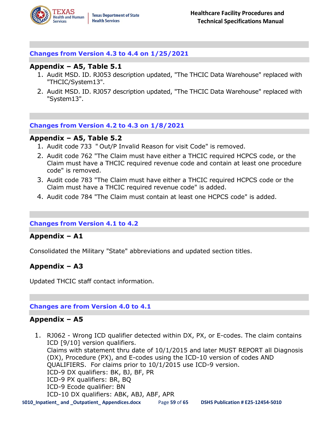#### **Changes from Version 4.3 to 4.4 on 1/25/2021**

#### **Appendix – A5, Table 5.1**

- 1. Audit MSD. ID. RJ053 description updated, "The THCIC Data Warehouse" replaced with "THCIC/System13".
- 2. Audit MSD. ID. RJ057 description updated, "The THCIC Data Warehouse" replaced with "System13".

#### **Changes from Version 4.2 to 4.3 on 1/8/2021**

#### **Appendix – A5, Table 5.2**

- 1. Audit code 733 " Out/P Invalid Reason for visit Code" is removed.
- 2. Audit code 762 "The Claim must have either a THCIC required HCPCS code, or the Claim must have a THCIC required revenue code and contain at least one procedure code" is removed.
- 3. Audit code 783 "The Claim must have either a THCIC required HCPCS code or the Claim must have a THCIC required revenue code" is added.
- 4. Audit code 784 "The Claim must contain at least one HCPCS code" is added.

#### **Changes from Version 4.1 to 4.2**

#### **Appendix – A1**

Consolidated the Military "State" abbreviations and updated section titles.

#### **Appendix – A3**

Updated THCIC staff contact information.

#### **Changes are from Version 4.0 to 4.1**

#### **Appendix – A5**

**5010\_Inpatient\_ and \_Outpatient\_ Appendices.docx** Page **59** of **65 DSHS Publication # E25-12454-5010**  1. RJ062 - Wrong ICD qualifier detected within DX, PX, or E-codes. The claim contains ICD [9/10] version qualifiers. Claims with statement thru date of 10/1/2015 and later MUST REPORT all Diagnosis (DX), Procedure (PX), and E-codes using the ICD-10 version of codes AND QUALIFIERS. For claims prior to 10/1/2015 use ICD-9 version. ICD-9 DX qualifiers: BK, BJ, BF, PR ICD-9 PX qualifiers: BR, BQ ICD-9 Ecode qualifier: BN ICD-10 DX qualifiers: ABK, ABJ, ABF, APR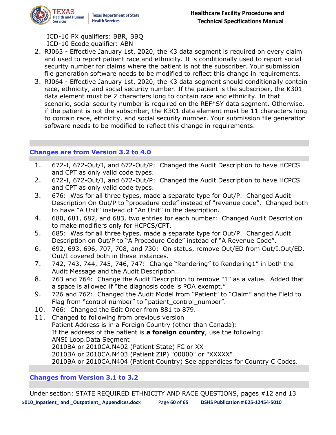

ICD-10 PX qualifiers: BBR, BBQ ICD-10 Ecode qualifier: ABN

- 2. RJ063 Effective January 1st, 2020, the K3 data segment is required on every claim and used to report patient race and ethnicity. It is conditionally used to report social security number for claims where the patient is not the subscriber. Your submission file generation software needs to be modified to reflect this change in requirements.
- 3. RJ064 Effective January 1st, 2020, the K3 data segment should conditionally contain race, ethnicity, and social security number. If the patient is the subscriber, the K301 data element must be 2 characters long to contain race and ethnicity. In that scenario, social security number is required on the REF\*SY data segment. Otherwise, if the patient is not the subscriber, the K301 data element must be 11 characters long to contain race, ethnicity, and social security number. Your submission file generation software needs to be modified to reflect this change in requirements.

#### **Changes are from Version 3.2 to 4.0**

- 1. 672-I, 672-Out/I, and 672-Out/P: Changed the Audit Description to have HCPCS and CPT as only valid code types.
- 2. 672-I, 672-Out/I, and 672-Out/P: Changed the Audit Description to have HCPCS and CPT as only valid code types.
- 3. 676: Was for all three types, made a separate type for Out/P. Changed Audit Description On Out/P to "procedure code" instead of "revenue code". Changed both to have "A Unit" instead of "An Unit" in the description.
- 4. 680, 681, 682, and 683, two entries for each number: Changed Audit Description to make modifiers only for HCPCS/CPT.
- 5. 685: Was for all three types, made a separate type for Out/P. Changed Audit Description on Out/P to "A Procedure Code" instead of "A Revenue Code".
- 6. 692, 693, 696, 707, 708, and 730: On status, remove Out/ED from Out/I,Out/ED. Out/I covered both in these instances.
- 7. 742, 743, 744, 745, 746, 747: Change "Rendering" to Rendering1" in both the Audit Message and the Audit Description.
- 8. 763 and 764: Change the Audit Description to remove "1" as a value. Added that a space is allowed if "the diagnosis code is POA exempt."
- 9. 726 and 762: Changed the Audit Model from "Patient" to "Claim" and the Field to Flag from "control number" to "patient\_control\_number".
- 10. 766: Changed the Edit Order from 881 to 879.
- 11. Changed to following from previous version Patient Address is in a Foreign Country (other than Canada): If the address of the patient is **a foreign country**, use the following: ANSI Loop.Data Segment 2010BA or 2010CA.N402 (Patient State) FC or XX 2010BA or 2010CA.N403 (Patient ZIP) "00000" or "XXXXX" 2010BA or 2010CA.N404 (Patient Country) See appendices for Country C Codes.

#### **Changes from Version 3.1 to 3.2**

**5010\_Inpatient\_ and \_Outpatient\_ Appendices.docx** Page **60** of **65 DSHS Publication # E25-12454-5010**  Under section: STATE REQUIRED ETHNICITY AND RACE QUESTIONS, pages #12 and 13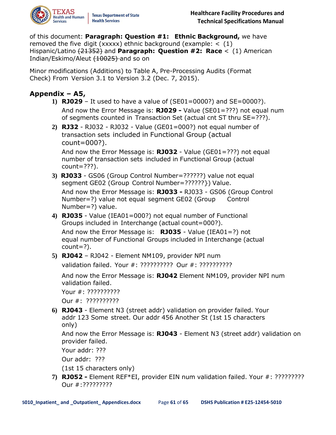

of this document: **Paragraph: Question #1: Ethnic Background,** we have removed the five digit (xxxxx) ethnic background (example:  $\lt$  (1) Hispanic/Latino (21352) and **Paragraph: Question #2: Race** < (1) American Indian/Eskimo/Aleut (10025) and so on

Minor modifications (Additions) to Table A, Pre-Processing Audits (Format Check) From Version 3.1 to Version 3.2 (Dec. 7, 2015).

### **Appendix – A5,**

- **1) RJ029** It used to have a value of (SE01=0000?) and SE=0000?). And now the Error Message is: **RJ029 -** Value (SE01=???) not equal num of segments counted in Transaction Set (actual cnt ST thru SE=???).
- **2) RJ32** RJ032 RJ032 Value (GE01=000?) not equal number of transaction sets included in Functional Group (actual count=000?).

And now the Error Message is: **RJ032** - Value (GE01=???) not equal number of transaction sets included in Functional Group (actual count=???).

- **3) RJ033** GS06 (Group Control Number=??????) value not equal segment GE02 (Group Control Number=??????}) Value. And now the Error Message is: **RJ033 -** RJ033 - GS06 (Group Control Number=?) value not equal segment GE02 (Group Control Number=?) value.
- **4) RJ035** Value (IEA01=000?) not equal number of Functional Groups included in Interchange (actual count=000?). And now the Error Message is: **RJ035** - Value (IEA01=?) not equal number of Functional Groups included in Interchange (actual

count=?).

**5) RJ042** – RJ042 - Element NM109, provider NPI num

```
validation failed. Your #: ?????????? Our #: ??????????
```
And now the Error Message is: **RJ042** Element NM109, provider NPI num validation failed.

Your #: ??????????

Our #: ??????????

**6) RJ043** - Element N3 (street addr) validation on provider failed. Your addr 123 Some street. Our addr 456 Another St (1st 15 characters only)

And now the Error Message is: **RJ043** - Element N3 (street addr) validation on provider failed.

Your addr: ???

Our addr: ???

(1st 15 characters only)

**7) RJ052 -** Element REF\*EI, provider EIN num validation failed. Your #: ????????? Our #:?????????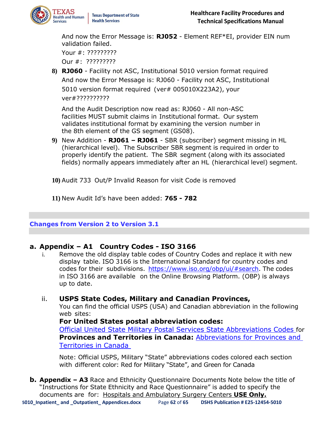

And now the Error Message is: **RJ052** - Element REF\*EI, provider EIN num validation failed. Your #: ????????? Our #: ?????????

**8) RJ060** - Facility not ASC, Institutional 5010 version format required And now the Error Message is: RJ060 - Facility not ASC, Institutional 5010 version format required (ver# 005010X223A2), your ver#??????????

And the Audit Description now read as: RJ060 - All non-ASC facilities MUST submit claims in Institutional format. Our system validates institutional format by examining the version number in the 8th element of the GS segment (GS08).

**9)** New Addition - **RJ061 – RJ061** - SBR (subscriber) segment missing in HL (hierarchical level). The Subscriber SBR segment is required in order to properly identify the patient. The SBR segment (along with its associated fields) normally appears immediately after an HL (hierarchical level) segment.

**10)** Audit 733 Out/P Invalid Reason for visit Code is removed

**11)** New Audit Id's have been added: **765 - 782**

#### **Changes from Version 2 to Version 3.1**

#### **a. Appendix – A1 Country Codes - ISO 3166**

i. Remove the old display table codes of Country Codes and replace it with new display table. ISO 3166 is the International Standard for country codes and codes for their subdivisions. [https://www.iso.org/obp/ui/#search.](http://www.iso.org/obp/ui/#search) The codes in ISO 3166 are available on the Online Browsing Platform. (OBP) is always up to date.

#### ii. **USPS State Codes, Military and Canadian Provinces,**

You can find the official USPS (USA) and Canadian abbreviation in the following web sites:

#### **For United States postal abbreviation codes:**

[Official United State Military Postal Services State Abbreviations Codes](https://pe.usps.com/text/pub28/28apb.htm) for **Provinces and Territories in Canada:** [Abbreviations for Provinces and](http://canadaonline.about.com/od/postalservices/a/abbreviations-provinces-canada.htm)  [Territories in Canada](http://canadaonline.about.com/od/postalservices/a/abbreviations-provinces-canada.htm) 

Note: Official USPS, Military "State" abbreviations codes colored each section with different color: Red for Military "State", and Green for Canada

**b. Appendix – A3** Race and Ethnicity Questionnaire Documents Note below the title of "Instructions for State Ethnicity and Race Questionnaire" is added to specify the documents are for: Hospitals and Ambulatory Surgery Centers **USE Only.**

**5010\_Inpatient\_ and \_Outpatient\_ Appendices.docx** Page **62** of **65 DSHS Publication # E25-12454-5010**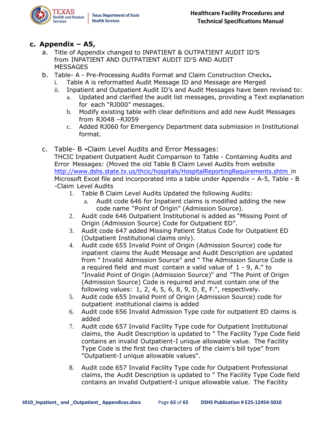

#### **c. Appendix – A5,**

- a. Title of Appendix changed to INPATIENT & OUTPATIENT AUDIT ID'S from INPATIENT AND OUTPATIENT AUDIT ID'S AND AUDIT **MESSAGES**
- b. Table- A Pre-Processing Audits Format and Claim Construction Checks**.**
	- i. Table A is reformatted Audit Message ID and Message are Merged
	- ii. Inpatient and Outpatient Audit ID's and Audit Messages have been revised to:
		- a. Updated and clarified the audit list messages, providing a Text explanation for each "RJ000" messages.
		- b. Modify existing table with clear definitions and add new Audit Messages from RJ048 –RJ059
		- c. Added RJ060 for Emergency Department data submission in Institutional format.
- c. Table- B **-**Claim Level Audits and Error Messages:
	- THCIC Inpatient Outpatient Audit Comparison to Table Containing Audits and Error Messages: (Moved the old Table B Claim Level Audits from website <http://www.dshs.state.tx.us/thcic/hospitals/HospitalReportingRequirements.shtm> in Microsoft Excel file and incorporated into a table under Appendix – A-5, Table - B -Claim Level Audits
		- 1. Table B Claim Level Audits Updated the following Audits:
			- a. Audit code 646 for Inpatient claims is modified adding the new code name "Point of Origin" (Admission Source).
		- 2. Audit code 646 Outpatient Institutional is added as "Missing Point of Origin (Admission Source) Code for Outpatient ED".
		- 3. Audit code 647 added Missing Patient Status Code for Outpatient ED (Outpatient Institutional claims only).
		- 4. Audit code 655 Invalid Point of Origin (Admission Source) code for inpatient claims the Audit Message and Audit Description are updated from " Invalid Admission Source" and " The Admission Source Code is a required field and must contain a valid value of 1 - 9, A." to "Invalid Point of Origin (Admission Source)" and "The Point of Origin (Admission Source) Code is required and must contain one of the following values: 1, 2, 4, 5, 6, 8, 9, D, E, F.", respectively.
		- 5. Audit code 655 Invalid Point of Origin (Admission Source) code for outpatient institutional claims is added
		- 6. Audit code 656 Invalid Admission Type code for outpatient ED claims is added
		- 7. Audit code 657 Invalid Facility Type code for Outpatient Institutional claims, the Audit Description is updated to " The Facility Type Code field contains an invalid Outpatient-I unique allowable value. The Facility Type Code is the first two characters of the claim's bill type" from "Outpatient-I unique allowable values".
		- 8. Audit code 657 Invalid Facility Type code for Outpatient Professional claims, the Audit Description is updated to " The Facility Type Code field contains an invalid Outpatient-I unique allowable value. The Facility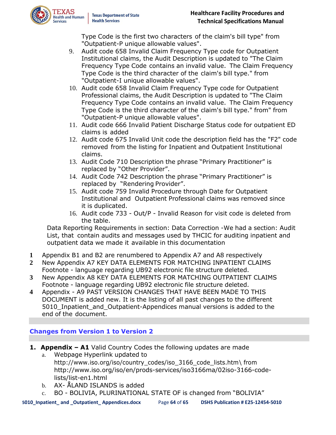

Type Code is the first two characters of the claim's bill type" from "Outpatient-P unique allowable values".

- 9. Audit code 658 Invalid Claim Frequency Type code for Outpatient Institutional claims, the Audit Description is updated to "The Claim Frequency Type Code contains an invalid value. The Claim Frequency Type Code is the third character of the claim's bill type." from "Outpatient-I unique allowable values".
- 10. Audit code 658 Invalid Claim Frequency Type code for Outpatient Professional claims, the Audit Description is updated to "The Claim Frequency Type Code contains an invalid value. The Claim Frequency Type Code is the third character of the claim's bill type." from" from "Outpatient-P unique allowable values".
- 11. Audit code 666 Invalid Patient Discharge Status code for outpatient ED claims is added
- 12. Audit code 675 Invalid Unit code the description field has the "F2" code removed from the listing for Inpatient and Outpatient Institutional claims.
- 13. Audit Code 710 Description the phrase "Primary Practitioner" is replaced by "Other Provider".
- 14. Audit Code 742 Description the phrase "Primary Practitioner" is replaced by "Rendering Provider".
- 15. Audit code 759 Invalid Procedure through Date for Outpatient Institutional and Outpatient Professional claims was removed since it is duplicated.
- 16. Audit code 733 Out/P Invalid Reason for visit code is deleted from the table.

Data Reporting Requirements in section: Data Correction -We had a section: Audit List, that contain audits and messages used by THCIC for auditing inpatient and outpatient data we made it available in this documentation

- **1** Appendix B1 and B2 are renumbered to Appendix A7 and A8 respectively
- **2** New Appendix A7 KEY DATA ELEMENTS FOR MATCHING INPATIENT CLAIMS Footnote - language regarding UB92 electronic file structure deleted.
- **3** New Appendix A8 KEY DATA ELEMENTS FOR MATCHING OUTPATIENT CLAIMS Footnote - language regarding UB92 electronic file structure deleted.
- **4** Appendix A9 PAST VERSION CHANGES THAT HAVE BEEN MADE TO THIS DOCUMENT is added new. It is the listing of all past changes to the different 5010\_Inpatient\_and\_Outpatient-Appendices manual versions is added to the end of the document.

#### **Changes from Version 1 to Version 2**

- **1. Appendix – A1** Valid Country Codes the following updates are made
	- a. Webpage Hyperlink updated to [http://www.iso.org/iso/country\\_codes/iso\\_3166\\_code\\_lists.htm\](http://www.iso.org/iso/country_codes/iso_3166_code_lists.htm/) from [http://www.iso.org/iso/en/prods-services/iso3166ma/02iso-3166-code](http://www.iso.org/iso/en/prods-services/iso3166ma/02iso-3166-code-lists/list-en1.html)[lists/list-en1.html](http://www.iso.org/iso/en/prods-services/iso3166ma/02iso-3166-code-lists/list-en1.html)
	- b. AX- ÅLAND ISLANDS is added
	- c. BO BOLIVIA, PLURINATIONAL STATE OF is changed from "BOLIVIA"

**5010\_Inpatient\_ and \_Outpatient\_ Appendices.docx** Page **64** of **65 DSHS Publication # E25-12454-5010**